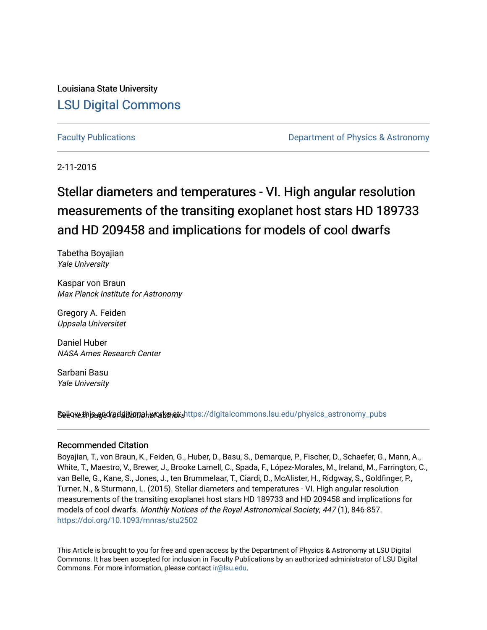Louisiana State University [LSU Digital Commons](https://digitalcommons.lsu.edu/)

[Faculty Publications](https://digitalcommons.lsu.edu/physics_astronomy_pubs) **Example 2** Constant Department of Physics & Astronomy

2-11-2015

# Stellar diameters and temperatures - VI. High angular resolution measurements of the transiting exoplanet host stars HD 189733 and HD 209458 and implications for models of cool dwarfs

Tabetha Boyajian Yale University

Kaspar von Braun Max Planck Institute for Astronomy

Gregory A. Feiden Uppsala Universitet

Daniel Huber NASA Ames Research Center

Sarbani Basu Yale University

Sellow this and follow this many althors Follow the set of multiple in the set of all and additional works and a

#### Recommended Citation

Boyajian, T., von Braun, K., Feiden, G., Huber, D., Basu, S., Demarque, P., Fischer, D., Schaefer, G., Mann, A., White, T., Maestro, V., Brewer, J., Brooke Lamell, C., Spada, F., López-Morales, M., Ireland, M., Farrington, C., van Belle, G., Kane, S., Jones, J., ten Brummelaar, T., Ciardi, D., McAlister, H., Ridgway, S., Goldfinger, P., Turner, N., & Sturmann, L. (2015). Stellar diameters and temperatures - VI. High angular resolution measurements of the transiting exoplanet host stars HD 189733 and HD 209458 and implications for models of cool dwarfs. Monthly Notices of the Royal Astronomical Society, 447 (1), 846-857. <https://doi.org/10.1093/mnras/stu2502>

This Article is brought to you for free and open access by the Department of Physics & Astronomy at LSU Digital Commons. It has been accepted for inclusion in Faculty Publications by an authorized administrator of LSU Digital Commons. For more information, please contact [ir@lsu.edu](mailto:ir@lsu.edu).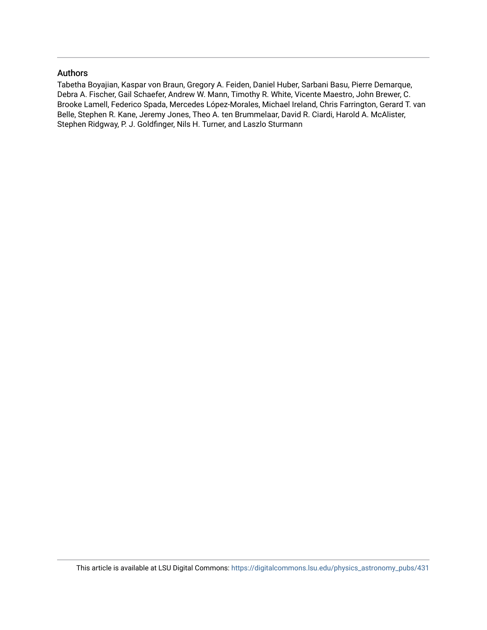### Authors

Tabetha Boyajian, Kaspar von Braun, Gregory A. Feiden, Daniel Huber, Sarbani Basu, Pierre Demarque, Debra A. Fischer, Gail Schaefer, Andrew W. Mann, Timothy R. White, Vicente Maestro, John Brewer, C. Brooke Lamell, Federico Spada, Mercedes López-Morales, Michael Ireland, Chris Farrington, Gerard T. van Belle, Stephen R. Kane, Jeremy Jones, Theo A. ten Brummelaar, David R. Ciardi, Harold A. McAlister, Stephen Ridgway, P. J. Goldfinger, Nils H. Turner, and Laszlo Sturmann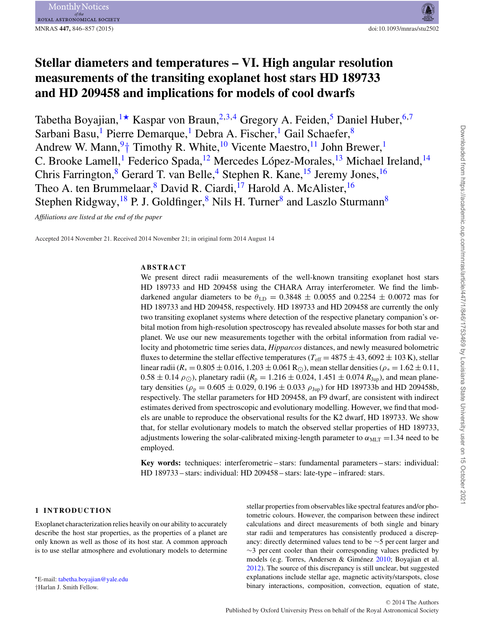## **Stellar diameters and temperatures – VI. High angular resolution measurements of the transiting exoplanet host stars HD 189733 and HD 209458 and implications for models of cool dwarfs**

Tabetha Boyajian, <sup>[1](#page-12-0)\*</sup> Kaspar von Braun, <sup>2,[3](#page-12-2)[,4](#page-12-3)</sup> Gregory A. Feiden, <sup>5</sup> Daniel Huber, <sup>6,[7](#page-12-6)</sup> Sarbani Basu,<sup>1</sup> Pierre Demarque,<sup>1</sup> Debra A. Fischer,<sup>1</sup> Gail Schaefer,<sup>[8](#page-12-7)</sup> Andrew W. Mann,  $9+$  Timothy R. White,  $10$  Vicente Maestro,  $11$  John Brewer,  $1$ C. Brooke Lamell,<sup>[1](#page-12-0)</sup> Federico Spada,<sup>12</sup> Mercedes López-Morales,<sup>[13](#page-13-1)</sup> Michael Ireland,<sup>14</sup> Chris Farrington,<sup>[8](#page-12-7)</sup> Gerard T. van Belle,<sup>[4](#page-12-3)</sup> Stephen R. Kane,<sup>15</sup> Jeremy Jones,<sup>[16](#page-13-4)</sup> Theo A. ten Brummelaar, <sup>8</sup> David R. Ciardi, <sup>[17](#page-13-5)</sup> Harold A. McAlister, <sup>[16](#page-13-4)</sup> Stephen Ridgway, <sup>[18](#page-13-6)</sup> P. J. Goldfinger, <sup>[8](#page-12-7)</sup> Nils H. Turner<sup>8</sup> and Laszlo Sturmann<sup>8</sup>

*Affiliations are listed at the end of the paper*

Accepted 2014 November 21. Received 2014 November 21; in original form 2014 August 14

#### **ABSTRACT**

We present direct radii measurements of the well-known transiting exoplanet host stars HD 189733 and HD 209458 using the CHARA Array interferometer. We find the limbdarkened angular diameters to be  $\theta_{\text{LD}} = 0.3848 \pm 0.0055$  and 0.2254  $\pm$  0.0072 mas for HD 189733 and HD 209458, respectively. HD 189733 and HD 209458 are currently the only two transiting exoplanet systems where detection of the respective planetary companion's orbital motion from high-resolution spectroscopy has revealed absolute masses for both star and planet. We use our new measurements together with the orbital information from radial velocity and photometric time series data, *Hipparcos* distances, and newly measured bolometric fluxes to determine the stellar effective temperatures ( $T_{\text{eff}} = 4875 \pm 43,6092 \pm 103$  K), stellar linear radii ( $R_* = 0.805 \pm 0.016$ , 1.203 ± 0.061 R<sub>O</sub>), mean stellar densities ( $\rho_* = 1.62 \pm 0.11$ ,  $0.58 \pm 0.14 \rho_{\odot}$ ), planetary radii ( $R_p = 1.216 \pm 0.024$ , 1.451  $\pm$  0.074  $R_{Jup}$ ), and mean planetary densities ( $\rho_p = 0.605 \pm 0.029$ , 0.196  $\pm$  0.033  $\rho_{Jup}$ ) for HD 189733b and HD 209458b, respectively. The stellar parameters for HD 209458, an F9 dwarf, are consistent with indirect estimates derived from spectroscopic and evolutionary modelling. However, we find that models are unable to reproduce the observational results for the K2 dwarf, HD 189733. We show that, for stellar evolutionary models to match the observed stellar properties of HD 189733, adjustments lowering the solar-calibrated mixing-length parameter to  $\alpha_{\text{MLT}} = 1.34$  need to be employed.

**Key words:** techniques: interferometric – stars: fundamental parameters – stars: individual: HD 189733 – stars: individual: HD 209458 – stars: late-type – infrared: stars.

#### **1 INTRODUCTION**

Exoplanet characterization relies heavily on our ability to accurately describe the host star properties, as the properties of a planet are only known as well as those of its host star. A common approach is to use stellar atmosphere and evolutionary models to determine

<span id="page-2-1"></span><span id="page-2-0"></span>E-mail: [tabetha.boyajian@yale.edu](mailto:tabetha.boyajian@yale.edu) †Harlan J. Smith Fellow.

stellar properties from observables like spectral features and/or photometric colours. However, the comparison between these indirect calculations and direct measurements of both single and binary star radii and temperatures has consistently produced a discrepancy: directly determined values tend to be ∼5 per cent larger and  $\sim$ 3 per cent cooler than their corresponding values predicted by models (e.g. Torres, Andersen & Giménez  $2010$ ; Boyajian et al. [2012\)](#page-11-0). The source of this discrepancy is still unclear, but suggested explanations include stellar age, magnetic activity/starspots, close binary interactions, composition, convection, equation of state,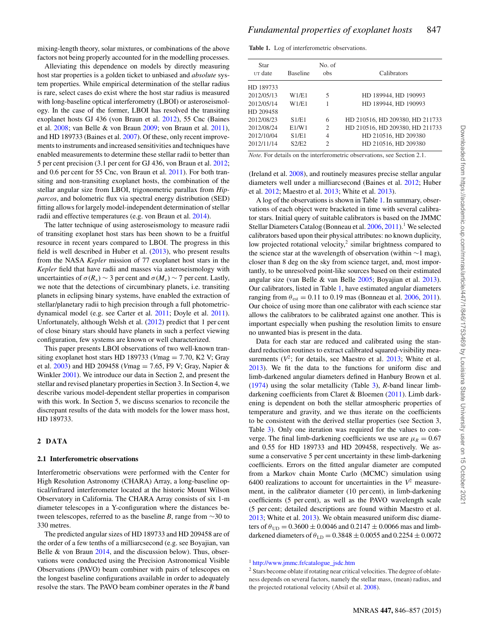mixing-length theory, solar mixtures, or combinations of the above factors not being properly accounted for in the modelling processes.

Alleviating this dependence on models by directly measuring host star properties is a golden ticket to unbiased and *absolute* system properties. While empirical determination of the stellar radius is rare, select cases do exist where the host star radius is measured with long-baseline optical interferometry (LBOI) or asteroseismology. In the case of the former, LBOI has resolved the transiting exoplanet hosts GJ 436 (von Braun et al. [2012\)](#page-12-12), 55 Cnc (Baines et al. [2008;](#page-11-1) van Belle & von Braun [2009;](#page-12-13) von Braun et al. [2011\)](#page-12-14), and HD 189733 (Baines et al. [2007\)](#page-11-2). Of these, only recent improvements to instruments and increased sensitivities and techniques have enabled measurements to determine these stellar radii to better than 5 per cent precision (3.1 per cent for GJ 436, von Braun et al. [2012;](#page-12-12) and 0.6 per cent for 55 Cnc, von Braun et al. [2011\)](#page-12-14). For both transiting and non-transiting exoplanet hosts, the combination of the stellar angular size from LBOI, trigonometric parallax from *Hipparcos*, and bolometric flux via spectral energy distribution (SED) fitting allows for largely model-independent determination of stellar radii and effective temperatures (e.g. von Braun et al. [2014\)](#page-12-15).

The latter technique of using asteroseismology to measure radii of transiting exoplanet host stars has been shown to be a fruitful resource in recent years compared to LBOI. The progress in this field is well described in Huber et al. [\(2013\)](#page-12-16), who present results from the NASA *Kepler* mission of 77 exoplanet host stars in the *Kepler* field that have radii and masses via asteroseismology with uncertainties of  $\sigma(R_*) \sim 3$  per cent and  $\sigma(M_*) \sim 7$  per cent. Lastly, we note that the detections of circumbinary planets, i.e. transiting planets in eclipsing binary systems, have enabled the extraction of stellar/planetary radii to high precision through a full photometricdynamical model (e.g. see Carter et al. [2011;](#page-11-3) Doyle et al. [2011\)](#page-12-17). Unfortunately, although Welsh et al. [\(2012\)](#page-12-18) predict that 1 per cent of close binary stars should have planets in such a perfect viewing configuration, few systems are known or well characterized.

This paper presents LBOI observations of two well-known transiting exoplanet host stars HD 189733 (*V*mag = 7.70, K2 V; Gray et al. [2003\)](#page-12-19) and HD 209458 (*V*mag = 7.65, F9 V; Gray, Napier & Winkler [2001\)](#page-12-20). We introduce our data in Section 2, and present the stellar and revised planetary properties in Section 3. In Section 4, we describe various model-dependent stellar properties in comparison with this work. In Section 5, we discuss scenarios to reconcile the discrepant results of the data with models for the lower mass host, HD 189733.

#### **2 DATA**

#### **2.1 Interferometric observations**

Interferometric observations were performed with the Center for High Resolution Astronomy (CHARA) Array, a long-baseline optical/infrared interferometer located at the historic Mount Wilson Observatory in California. The CHARA Array consists of six 1-m diameter telescopes in a Y-configuration where the distances between telescopes, referred to as the baseline *B*, range from ∼30 to 330 metres.

The predicted angular sizes of HD 189733 and HD 209458 are of the order of a few tenths of a milliarcsecond (e.g. see Boyajian, van Belle  $\&$  von Braun [2014,](#page-11-4) and the discussion below). Thus, observations were conducted using the Precision Astronomical Visible Observations (PAVO) beam combiner with pairs of telescopes on the longest baseline configurations available in order to adequately resolve the stars. The PAVO beam combiner operates in the *R* band

<span id="page-3-0"></span>**Table 1.** Log of interferometric observations.

| Star<br>UT date | <b>Baseline</b> | No. of<br>obs | Calibrators                     |
|-----------------|-----------------|---------------|---------------------------------|
| HD 189733       |                 |               |                                 |
| 2012/05/13      | W1/E1           | 5             | HD 189944, HD 190993            |
| 2012/05/14      | W1/E1           |               | HD 189944, HD 190993            |
| HD 209458       |                 |               |                                 |
| 2012/08/23      | S1/E1           | 6             | HD 210516, HD 209380, HD 211733 |
| 2012/08/24      | E1/W1           | 2             | HD 210516, HD 209380, HD 211733 |
| 2012/10/04      | S1/E1           | 4             | HD 210516, HD 209380            |
| 2012/11/14      | S2/E2           | 2             | HD 210516, HD 209380            |

*Note.* For details on the interferometric observations, see Section 2.1.

(Ireland et al. [2008\)](#page-12-21), and routinely measures precise stellar angular diameters well under a milliarcsecond (Baines et al. [2012;](#page-11-5) Huber et al. [2012;](#page-12-22) Maestro et al. [2013;](#page-12-23) White et al. [2013\)](#page-12-24).

A log of the observations is shown in Table [1.](#page-3-0) In summary, observations of each object were bracketed in time with several calibrator stars. Initial query of suitable calibrators is based on the JMMC Stellar Diameters Catalog (Bonneau et al.  $2006, 2011$  $2006, 2011$ ).<sup>1</sup> We selected calibrators based upon their physical attributes: no known duplicity, low projected rotational velocity, $2 \sin \theta$  brightness compared to the science star at the wavelength of observation (within ∼1 mag), closer than 8 deg on the sky from science target, and, most importantly, to be unresolved point-like sources based on their estimated angular size (van Belle & van Belle [2005;](#page-12-25) Boyajian et al. [2013\)](#page-11-8). Our calibrators, listed in Table [1,](#page-3-0) have estimated angular diameters ranging from  $\theta_{\text{est}} = 0.11$  to 0.19 mas (Bonneau et al. [2006,](#page-11-6) [2011\)](#page-11-7). Our choice of using more than one calibrator with each science star allows the calibrators to be calibrated against one another. This is important especially when pushing the resolution limits to ensure no unwanted bias is present in the data.

Data for each star are reduced and calibrated using the standard reduction routines to extract calibrated squared-visibility measurements  $(V^2)$ ; for details, see Maestro et al. [2013;](#page-12-23) White et al. [2013\)](#page-12-24). We fit the data to the functions for uniform disc and limb-darkened angular diameters defined in Hanbury Brown et al. [\(1974\)](#page-12-26) using the solar metallicity (Table [3\)](#page-6-0), *R*-band linear limbdarkening coefficients from Claret & Bloemen [\(2011\)](#page-12-27). Limb darkening is dependent on both the stellar atmospheric properties of temperature and gravity, and we thus iterate on the coefficients to be consistent with the derived stellar properties (see Section 3, Table [3\)](#page-6-0). Only one iteration was required for the values to converge. The final limb-darkening coefficients we use are  $\mu_R = 0.67$ and 0.55 for HD 189733 and HD 209458, respectively. We assume a conservative 5 per cent uncertainty in these limb-darkening coefficients. Errors on the fitted angular diameter are computed from a Markov chain Monte Carlo (MCMC) simulation using 6400 realizations to account for uncertainties in the  $V^2$  measurement, in the calibrator diameter (10 per cent), in limb-darkening coefficients (5 per cent), as well as the PAVO wavelength scale (5 per cent; detailed descriptions are found within Maestro et al. [2013;](#page-12-23) White et al. [2013\)](#page-12-24). We obtain measured uniform disc diameters of  $\theta_{\text{UD}} = 0.3600 \pm 0.0046$  and  $0.2147 \pm 0.0066$  mas and limbdarkened diameters of  $\theta_{LD} = 0.3848 \pm 0.0055$  and  $0.2254 \pm 0.0072$ 

<sup>1</sup> [http://www.jmmc.fr/catalogue\\_jsdc.htm](http://www.jmmc.fr/catalogue_jsdc.htm)

<sup>&</sup>lt;sup>2</sup> Stars become oblate if rotating near critical velocities. The degree of oblateness depends on several factors, namely the stellar mass, (mean) radius, and the projected rotational velocity (Absil et al. [2008\)](#page-11-9).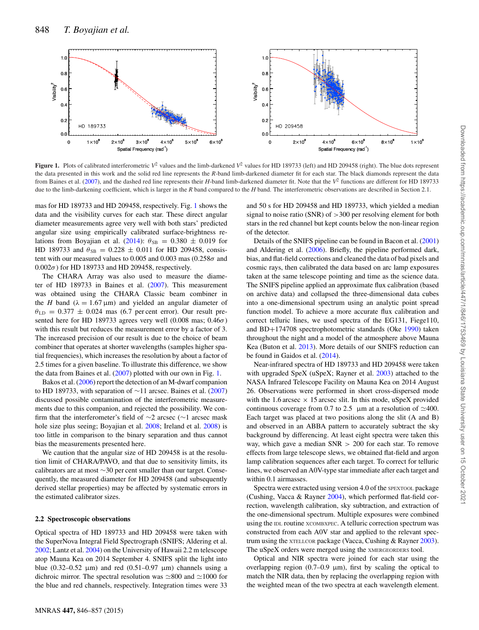<span id="page-4-0"></span>

**Figure 1.** Plots of calibrated interferometric  $V^2$  values and the limb-darkened  $V^2$  values for HD 189733 (left) and HD 209458 (right). The blue dots represent the data presented in this work and the solid red line represents the *R*-band limb-darkened diameter fit for each star. The black diamonds represent the data from Baines et al. [\(2007\)](#page-11-2), and the dashed red line represents their *H*-band limb-darkened diameter fit. Note that the  $V^2$  functions are different for HD 189733 due to the limb-darkening coefficient, which is larger in the *R* band compared to the *H* band. The interferometric observations are described in Section 2.1.

mas for HD 189733 and HD 209458, respectively. Fig. [1](#page-4-0) shows the data and the visibility curves for each star. These direct angular diameter measurements agree very well with both stars' predicted angular size using empirically calibrated surface-brightness re-lations from Boyajian et al. [\(2014\)](#page-11-4):  $\theta_{SB} = 0.380 \pm 0.019$  for HD 189733 and  $\theta_{SB} = 0.228 \pm 0.011$  for HD 209458, consistent with our measured values to 0.005 and 0.003 mas (0.258 $\sigma$  and  $0.002\sigma$ ) for HD 189733 and HD 209458, respectively.

The CHARA Array was also used to measure the diameter of HD 189733 in Baines et al. [\(2007\)](#page-11-2). This measurement was obtained using the CHARA Classic beam combiner in the *H* band ( $\lambda = 1.67 \,\mu\text{m}$ ) and yielded an angular diameter of  $\theta_{\text{LD}} = 0.377 \pm 0.024$  mas (6.7 per cent error). Our result presented here for HD 189733 agrees very well  $(0.008 \text{ mas}; 0.46\sigma)$ with this result but reduces the measurement error by a factor of 3. The increased precision of our result is due to the choice of beam combiner that operates at shorter wavelengths (samples higher spatial frequencies), which increases the resolution by about a factor of 2.5 times for a given baseline. To illustrate this difference, we show the data from Baines et al. [\(2007\)](#page-11-2) plotted with our own in Fig. [1.](#page-4-0)

Bakos et al. [\(2006\)](#page-11-10) report the detection of an M-dwarf companion to HD 189733, with separation of ∼11 arcsec. Baines et al. [\(2007\)](#page-11-2) discussed possible contamination of the interferometric measurements due to this companion, and rejected the possibility. We confirm that the interferometer's field of ∼2 arcsec (∼1 arcsec mask hole size plus seeing; Boyajian et al. [2008;](#page-11-11) Ireland et al. [2008\)](#page-12-21) is too little in comparison to the binary separation and thus cannot bias the measurements presented here.

We caution that the angular size of HD 209458 is at the resolution limit of CHARA/PAVO, and that due to sensitivity limits, its calibrators are at most ∼30 per cent smaller than our target. Consequently, the measured diameter for HD 209458 (and subsequently derived stellar properties) may be affected by systematic errors in the estimated calibrator sizes.

#### **2.2 Spectroscopic observations**

Optical spectra of HD 189733 and HD 209458 were taken with the SuperNova Integral Field Spectrograph (SNIFS; Aldering et al. [2002;](#page-11-12) Lantz et al. [2004\)](#page-12-28) on the University of Hawaii 2.2 m telescope atop Mauna Kea on 2014 September 4. SNIFS split the light into blue (0.32–0.52  $\mu$ m) and red (0.51–0.97  $\mu$ m) channels using a dichroic mirror. The spectral resolution was  $\approx 800$  and  $\approx 1000$  for the blue and red channels, respectively. Integration times were 33

and 50 s for HD 209458 and HD 189733, which yielded a median signal to noise ratio (SNR) of >300 per resolving element for both stars in the red channel but kept counts below the non-linear region of the detector.

Details of the SNIFS pipeline can be found in Bacon et al. [\(2001\)](#page-11-13) and Aldering et al. [\(2006\)](#page-11-14). Briefly, the pipeline performed dark, bias, and flat-field corrections and cleaned the data of bad pixels and cosmic rays, then calibrated the data based on arc lamp exposures taken at the same telescope pointing and time as the science data. The SNIFS pipeline applied an approximate flux calibration (based on archive data) and collapsed the three-dimensional data cubes into a one-dimensional spectrum using an analytic point spread function model. To achieve a more accurate flux calibration and correct telluric lines, we used spectra of the EG131, Fiege110, and BD+174708 spectrophotometric standards (Oke [1990\)](#page-12-29) taken throughout the night and a model of the atmosphere above Mauna Kea (Buton et al. [2013\)](#page-11-15). More details of our SNIFS reduction can be found in Gaidos et al. [\(2014\)](#page-12-30).

Near-infrared spectra of HD 189733 and HD 209458 were taken with upgraded SpeX (uSpeX; Rayner et al. [2003\)](#page-12-31) attached to the NASA Infrared Telescope Facility on Mauna Kea on 2014 August 26. Observations were performed in short cross-dispersed mode with the 1.6 arcsec  $\times$  15 arcsec slit. In this mode, uSpeX provided continuous coverage from 0.7 to 2.5  $\mu$ m at a resolution of  $\simeq$ 400. Each target was placed at two positions along the slit (A and B) and observed in an ABBA pattern to accurately subtract the sky background by differencing. At least eight spectra were taken this way, which gave a median SNR > 200 for each star. To remove effects from large telescope slews, we obtained flat-field and argon lamp calibration sequences after each target. To correct for telluric lines, we observed an A0V-type star immediate after each target and within 0.1 airmasses.

Spectra wer[e](#page-5-0) extracted using version 4.0 of the SPEXTOOL package (Cushing, Vacca & Rayner [2004\)](#page-12-32), which performed flat-field correction, wavelength calibration, sky subtraction, and extraction of the one-dimensional spectrum. Multiple exposures were combined using the IDL routine XCOMBXPEC. A telluric correction spectrum was constructed from each A0V star and applied to the relevant spectrum using the XTELLCOR package (Vacca, Cushing & Rayner [2003\)](#page-12-33). The uSpeX orders were merged using the XMERGEORDERS tool.

Optical and NIR spectra were joined for each star using the overlapping region (0.7–0.9  $\mu$ m), first by scaling the optical to match the NIR data, then by replacing the overlapping region with the weighted mean of the two spectra at each wavelength element.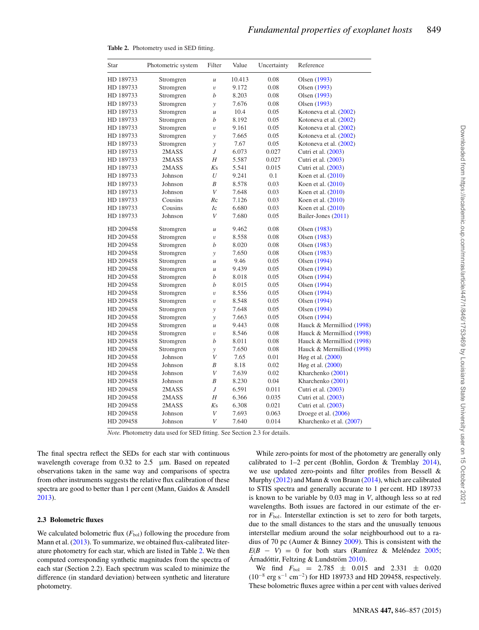| 0.08<br>HD 189733<br>Stromgren<br>10.413<br>Olsen (1993)<br>$\mathcal{U}$<br>HD 189733<br>Stromgren<br>9.172<br>0.08<br>Olsen (1993)<br>$\upsilon$<br>b<br>HD 189733<br>Stromgren<br>8.203<br>0.08<br>Olsen (1993)<br>HD 189733<br>Stromgren<br>7.676<br>0.08<br>Olsen (1993)<br>y<br>HD 189733<br>Stromgren<br>10.4<br>0.05<br>Kotoneva et al. (2002)<br>$\mathcal U$<br>HD 189733<br>Stromgren<br>b<br>8.192<br>0.05<br>Kotoneva et al. (2002)<br>HD 189733<br>Stromgren<br>9.161<br>0.05<br>Kotoneva et al. (2002)<br>$\upsilon$<br>0.05<br>Kotoneva et al. (2002)<br>HD 189733<br>Stromgren<br>7.665<br>y<br>7.67<br>0.05<br>Kotoneva et al. (2002)<br>HD 189733<br>Stromgren<br>$\mathcal{Y}$<br>HD 189733<br>2MASS<br>J<br>6.073<br>0.027<br>Cutri et al. (2003)<br>HD 189733<br>2MASS<br>Η<br>5.587<br>0.027<br>Cutri et al. (2003)<br>2MASS<br>Ks<br>5.541<br>0.015<br>HD 189733<br>Cutri et al. (2003)<br>U<br>HD 189733<br>Johnson<br>9.241<br>0.1<br>Koen et al. (2010)<br>Johnson<br>B<br>0.03<br>HD 189733<br>8.578<br>Koen et al. (2010)<br>Johnson<br>V<br>HD 189733<br>7.648<br>0.03<br>Koen et al. (2010)<br>Cousins<br>$R_{\rm C}$<br>7.126<br>0.03<br>Koen et al. (2010)<br>HD 189733<br>Cousins<br>HD 189733<br>Ic<br>6.680<br>0.03<br>Koen et al. (2010)<br>Johnson<br>$\boldsymbol{V}$<br>7.680<br>0.05<br>Bailer-Jones (2011)<br>HD 189733<br>HD 209458<br>Stromgren<br>9.462<br>0.08<br>Olsen (1983)<br>$\boldsymbol{\mathcal{U}}$<br>Stromgren<br>8.558<br>HD 209458<br>0.08<br>Olsen (1983)<br>$\upsilon$<br>Stromgren<br>b<br>8.020<br>0.08<br>HD 209458<br>Olsen (1983)<br>7.650<br>HD 209458<br>Stromgren<br>0.08<br>Olsen (1983)<br>y<br>HD 209458<br>Stromgren<br>9.46<br>0.05<br>Olsen (1994)<br>$\mathcal{U}$<br>HD 209458<br>Stromgren<br>9.439<br>0.05<br>Olsen (1994)<br>$\mathcal{U}$<br>HD 209458<br>Stromgren<br>b<br>8.018<br>0.05<br>Olsen (1994)<br>b<br>HD 209458<br>Stromgren<br>8.015<br>0.05<br>Olsen (1994)<br>8.556<br>HD 209458<br>Stromgren<br>0.05<br>Olsen (1994)<br>$\upsilon$<br>HD 209458<br>Stromgren<br>8.548<br>0.05<br>Olsen (1994)<br>$\upsilon$<br>HD 209458<br>Stromgren<br>7.648<br>0.05<br>Olsen (1994)<br>y<br>HD 209458<br>Stromgren<br>7.663<br>0.05<br>Olsen (1994)<br>y<br>9.443<br>HD 209458<br>Stromgren<br>0.08<br>$\boldsymbol{\mathcal{U}}$<br>HD 209458<br>Stromgren<br>8.546<br>0.08<br>$\upsilon$<br>b<br>HD 209458<br>Stromgren<br>8.011<br>0.08<br>HD 209458<br>Stromgren<br>7.650<br>0.08<br>y<br>$\bar{V}$<br>Johnson<br>7.65<br>0.01<br>HD 209458<br>Høg et al. (2000)<br>Johnson<br>B<br>8.18<br>0.02<br>Høg et al. (2000)<br>HD 209458<br>$\bar{V}$<br>7.639<br>HD 209458<br>Johnson<br>0.02<br>Kharchenko (2001)<br>B<br>8.230<br>0.04<br>Kharchenko (2001)<br>HD 209458<br>Johnson<br>J<br>6.591<br>HD 209458<br>2MASS<br>0.011<br>Cutri et al. (2003)<br>HD 209458<br>Η<br>6.366<br>0.035<br>Cutri et al. (2003)<br>2MASS<br>HD 209458<br>2MASS<br>Ks<br>6.308<br>0.021<br>Cutri et al. (2003)<br>HD 209458<br>V<br>7.693<br>0.063<br>Droege et al. $(2006)$<br>Johnson<br>$\boldsymbol{V}$<br>HD 209458<br>Johnson<br>7.640<br>0.014<br>Kharchenko et al. (2007) | Star | Photometric system | Filter | Value | Uncertainty | Reference                 |
|----------------------------------------------------------------------------------------------------------------------------------------------------------------------------------------------------------------------------------------------------------------------------------------------------------------------------------------------------------------------------------------------------------------------------------------------------------------------------------------------------------------------------------------------------------------------------------------------------------------------------------------------------------------------------------------------------------------------------------------------------------------------------------------------------------------------------------------------------------------------------------------------------------------------------------------------------------------------------------------------------------------------------------------------------------------------------------------------------------------------------------------------------------------------------------------------------------------------------------------------------------------------------------------------------------------------------------------------------------------------------------------------------------------------------------------------------------------------------------------------------------------------------------------------------------------------------------------------------------------------------------------------------------------------------------------------------------------------------------------------------------------------------------------------------------------------------------------------------------------------------------------------------------------------------------------------------------------------------------------------------------------------------------------------------------------------------------------------------------------------------------------------------------------------------------------------------------------------------------------------------------------------------------------------------------------------------------------------------------------------------------------------------------------------------------------------------------------------------------------------------------------------------------------------------------------------------------------------------------------------------------------------------------------------------------------------------------------------------------------------------------------------------------------------------------------------------------------------------------------------------------------------------------------------------------------------------------------------------------------------------------------------------------------------------------------------------------------------------------------------------------------------------------|------|--------------------|--------|-------|-------------|---------------------------|
|                                                                                                                                                                                                                                                                                                                                                                                                                                                                                                                                                                                                                                                                                                                                                                                                                                                                                                                                                                                                                                                                                                                                                                                                                                                                                                                                                                                                                                                                                                                                                                                                                                                                                                                                                                                                                                                                                                                                                                                                                                                                                                                                                                                                                                                                                                                                                                                                                                                                                                                                                                                                                                                                                                                                                                                                                                                                                                                                                                                                                                                                                                                                                          |      |                    |        |       |             |                           |
|                                                                                                                                                                                                                                                                                                                                                                                                                                                                                                                                                                                                                                                                                                                                                                                                                                                                                                                                                                                                                                                                                                                                                                                                                                                                                                                                                                                                                                                                                                                                                                                                                                                                                                                                                                                                                                                                                                                                                                                                                                                                                                                                                                                                                                                                                                                                                                                                                                                                                                                                                                                                                                                                                                                                                                                                                                                                                                                                                                                                                                                                                                                                                          |      |                    |        |       |             |                           |
|                                                                                                                                                                                                                                                                                                                                                                                                                                                                                                                                                                                                                                                                                                                                                                                                                                                                                                                                                                                                                                                                                                                                                                                                                                                                                                                                                                                                                                                                                                                                                                                                                                                                                                                                                                                                                                                                                                                                                                                                                                                                                                                                                                                                                                                                                                                                                                                                                                                                                                                                                                                                                                                                                                                                                                                                                                                                                                                                                                                                                                                                                                                                                          |      |                    |        |       |             |                           |
|                                                                                                                                                                                                                                                                                                                                                                                                                                                                                                                                                                                                                                                                                                                                                                                                                                                                                                                                                                                                                                                                                                                                                                                                                                                                                                                                                                                                                                                                                                                                                                                                                                                                                                                                                                                                                                                                                                                                                                                                                                                                                                                                                                                                                                                                                                                                                                                                                                                                                                                                                                                                                                                                                                                                                                                                                                                                                                                                                                                                                                                                                                                                                          |      |                    |        |       |             |                           |
|                                                                                                                                                                                                                                                                                                                                                                                                                                                                                                                                                                                                                                                                                                                                                                                                                                                                                                                                                                                                                                                                                                                                                                                                                                                                                                                                                                                                                                                                                                                                                                                                                                                                                                                                                                                                                                                                                                                                                                                                                                                                                                                                                                                                                                                                                                                                                                                                                                                                                                                                                                                                                                                                                                                                                                                                                                                                                                                                                                                                                                                                                                                                                          |      |                    |        |       |             |                           |
|                                                                                                                                                                                                                                                                                                                                                                                                                                                                                                                                                                                                                                                                                                                                                                                                                                                                                                                                                                                                                                                                                                                                                                                                                                                                                                                                                                                                                                                                                                                                                                                                                                                                                                                                                                                                                                                                                                                                                                                                                                                                                                                                                                                                                                                                                                                                                                                                                                                                                                                                                                                                                                                                                                                                                                                                                                                                                                                                                                                                                                                                                                                                                          |      |                    |        |       |             |                           |
|                                                                                                                                                                                                                                                                                                                                                                                                                                                                                                                                                                                                                                                                                                                                                                                                                                                                                                                                                                                                                                                                                                                                                                                                                                                                                                                                                                                                                                                                                                                                                                                                                                                                                                                                                                                                                                                                                                                                                                                                                                                                                                                                                                                                                                                                                                                                                                                                                                                                                                                                                                                                                                                                                                                                                                                                                                                                                                                                                                                                                                                                                                                                                          |      |                    |        |       |             |                           |
|                                                                                                                                                                                                                                                                                                                                                                                                                                                                                                                                                                                                                                                                                                                                                                                                                                                                                                                                                                                                                                                                                                                                                                                                                                                                                                                                                                                                                                                                                                                                                                                                                                                                                                                                                                                                                                                                                                                                                                                                                                                                                                                                                                                                                                                                                                                                                                                                                                                                                                                                                                                                                                                                                                                                                                                                                                                                                                                                                                                                                                                                                                                                                          |      |                    |        |       |             |                           |
|                                                                                                                                                                                                                                                                                                                                                                                                                                                                                                                                                                                                                                                                                                                                                                                                                                                                                                                                                                                                                                                                                                                                                                                                                                                                                                                                                                                                                                                                                                                                                                                                                                                                                                                                                                                                                                                                                                                                                                                                                                                                                                                                                                                                                                                                                                                                                                                                                                                                                                                                                                                                                                                                                                                                                                                                                                                                                                                                                                                                                                                                                                                                                          |      |                    |        |       |             |                           |
|                                                                                                                                                                                                                                                                                                                                                                                                                                                                                                                                                                                                                                                                                                                                                                                                                                                                                                                                                                                                                                                                                                                                                                                                                                                                                                                                                                                                                                                                                                                                                                                                                                                                                                                                                                                                                                                                                                                                                                                                                                                                                                                                                                                                                                                                                                                                                                                                                                                                                                                                                                                                                                                                                                                                                                                                                                                                                                                                                                                                                                                                                                                                                          |      |                    |        |       |             |                           |
|                                                                                                                                                                                                                                                                                                                                                                                                                                                                                                                                                                                                                                                                                                                                                                                                                                                                                                                                                                                                                                                                                                                                                                                                                                                                                                                                                                                                                                                                                                                                                                                                                                                                                                                                                                                                                                                                                                                                                                                                                                                                                                                                                                                                                                                                                                                                                                                                                                                                                                                                                                                                                                                                                                                                                                                                                                                                                                                                                                                                                                                                                                                                                          |      |                    |        |       |             |                           |
|                                                                                                                                                                                                                                                                                                                                                                                                                                                                                                                                                                                                                                                                                                                                                                                                                                                                                                                                                                                                                                                                                                                                                                                                                                                                                                                                                                                                                                                                                                                                                                                                                                                                                                                                                                                                                                                                                                                                                                                                                                                                                                                                                                                                                                                                                                                                                                                                                                                                                                                                                                                                                                                                                                                                                                                                                                                                                                                                                                                                                                                                                                                                                          |      |                    |        |       |             |                           |
|                                                                                                                                                                                                                                                                                                                                                                                                                                                                                                                                                                                                                                                                                                                                                                                                                                                                                                                                                                                                                                                                                                                                                                                                                                                                                                                                                                                                                                                                                                                                                                                                                                                                                                                                                                                                                                                                                                                                                                                                                                                                                                                                                                                                                                                                                                                                                                                                                                                                                                                                                                                                                                                                                                                                                                                                                                                                                                                                                                                                                                                                                                                                                          |      |                    |        |       |             |                           |
|                                                                                                                                                                                                                                                                                                                                                                                                                                                                                                                                                                                                                                                                                                                                                                                                                                                                                                                                                                                                                                                                                                                                                                                                                                                                                                                                                                                                                                                                                                                                                                                                                                                                                                                                                                                                                                                                                                                                                                                                                                                                                                                                                                                                                                                                                                                                                                                                                                                                                                                                                                                                                                                                                                                                                                                                                                                                                                                                                                                                                                                                                                                                                          |      |                    |        |       |             |                           |
|                                                                                                                                                                                                                                                                                                                                                                                                                                                                                                                                                                                                                                                                                                                                                                                                                                                                                                                                                                                                                                                                                                                                                                                                                                                                                                                                                                                                                                                                                                                                                                                                                                                                                                                                                                                                                                                                                                                                                                                                                                                                                                                                                                                                                                                                                                                                                                                                                                                                                                                                                                                                                                                                                                                                                                                                                                                                                                                                                                                                                                                                                                                                                          |      |                    |        |       |             |                           |
|                                                                                                                                                                                                                                                                                                                                                                                                                                                                                                                                                                                                                                                                                                                                                                                                                                                                                                                                                                                                                                                                                                                                                                                                                                                                                                                                                                                                                                                                                                                                                                                                                                                                                                                                                                                                                                                                                                                                                                                                                                                                                                                                                                                                                                                                                                                                                                                                                                                                                                                                                                                                                                                                                                                                                                                                                                                                                                                                                                                                                                                                                                                                                          |      |                    |        |       |             |                           |
|                                                                                                                                                                                                                                                                                                                                                                                                                                                                                                                                                                                                                                                                                                                                                                                                                                                                                                                                                                                                                                                                                                                                                                                                                                                                                                                                                                                                                                                                                                                                                                                                                                                                                                                                                                                                                                                                                                                                                                                                                                                                                                                                                                                                                                                                                                                                                                                                                                                                                                                                                                                                                                                                                                                                                                                                                                                                                                                                                                                                                                                                                                                                                          |      |                    |        |       |             |                           |
|                                                                                                                                                                                                                                                                                                                                                                                                                                                                                                                                                                                                                                                                                                                                                                                                                                                                                                                                                                                                                                                                                                                                                                                                                                                                                                                                                                                                                                                                                                                                                                                                                                                                                                                                                                                                                                                                                                                                                                                                                                                                                                                                                                                                                                                                                                                                                                                                                                                                                                                                                                                                                                                                                                                                                                                                                                                                                                                                                                                                                                                                                                                                                          |      |                    |        |       |             |                           |
|                                                                                                                                                                                                                                                                                                                                                                                                                                                                                                                                                                                                                                                                                                                                                                                                                                                                                                                                                                                                                                                                                                                                                                                                                                                                                                                                                                                                                                                                                                                                                                                                                                                                                                                                                                                                                                                                                                                                                                                                                                                                                                                                                                                                                                                                                                                                                                                                                                                                                                                                                                                                                                                                                                                                                                                                                                                                                                                                                                                                                                                                                                                                                          |      |                    |        |       |             |                           |
|                                                                                                                                                                                                                                                                                                                                                                                                                                                                                                                                                                                                                                                                                                                                                                                                                                                                                                                                                                                                                                                                                                                                                                                                                                                                                                                                                                                                                                                                                                                                                                                                                                                                                                                                                                                                                                                                                                                                                                                                                                                                                                                                                                                                                                                                                                                                                                                                                                                                                                                                                                                                                                                                                                                                                                                                                                                                                                                                                                                                                                                                                                                                                          |      |                    |        |       |             |                           |
|                                                                                                                                                                                                                                                                                                                                                                                                                                                                                                                                                                                                                                                                                                                                                                                                                                                                                                                                                                                                                                                                                                                                                                                                                                                                                                                                                                                                                                                                                                                                                                                                                                                                                                                                                                                                                                                                                                                                                                                                                                                                                                                                                                                                                                                                                                                                                                                                                                                                                                                                                                                                                                                                                                                                                                                                                                                                                                                                                                                                                                                                                                                                                          |      |                    |        |       |             |                           |
|                                                                                                                                                                                                                                                                                                                                                                                                                                                                                                                                                                                                                                                                                                                                                                                                                                                                                                                                                                                                                                                                                                                                                                                                                                                                                                                                                                                                                                                                                                                                                                                                                                                                                                                                                                                                                                                                                                                                                                                                                                                                                                                                                                                                                                                                                                                                                                                                                                                                                                                                                                                                                                                                                                                                                                                                                                                                                                                                                                                                                                                                                                                                                          |      |                    |        |       |             |                           |
|                                                                                                                                                                                                                                                                                                                                                                                                                                                                                                                                                                                                                                                                                                                                                                                                                                                                                                                                                                                                                                                                                                                                                                                                                                                                                                                                                                                                                                                                                                                                                                                                                                                                                                                                                                                                                                                                                                                                                                                                                                                                                                                                                                                                                                                                                                                                                                                                                                                                                                                                                                                                                                                                                                                                                                                                                                                                                                                                                                                                                                                                                                                                                          |      |                    |        |       |             |                           |
|                                                                                                                                                                                                                                                                                                                                                                                                                                                                                                                                                                                                                                                                                                                                                                                                                                                                                                                                                                                                                                                                                                                                                                                                                                                                                                                                                                                                                                                                                                                                                                                                                                                                                                                                                                                                                                                                                                                                                                                                                                                                                                                                                                                                                                                                                                                                                                                                                                                                                                                                                                                                                                                                                                                                                                                                                                                                                                                                                                                                                                                                                                                                                          |      |                    |        |       |             |                           |
|                                                                                                                                                                                                                                                                                                                                                                                                                                                                                                                                                                                                                                                                                                                                                                                                                                                                                                                                                                                                                                                                                                                                                                                                                                                                                                                                                                                                                                                                                                                                                                                                                                                                                                                                                                                                                                                                                                                                                                                                                                                                                                                                                                                                                                                                                                                                                                                                                                                                                                                                                                                                                                                                                                                                                                                                                                                                                                                                                                                                                                                                                                                                                          |      |                    |        |       |             |                           |
|                                                                                                                                                                                                                                                                                                                                                                                                                                                                                                                                                                                                                                                                                                                                                                                                                                                                                                                                                                                                                                                                                                                                                                                                                                                                                                                                                                                                                                                                                                                                                                                                                                                                                                                                                                                                                                                                                                                                                                                                                                                                                                                                                                                                                                                                                                                                                                                                                                                                                                                                                                                                                                                                                                                                                                                                                                                                                                                                                                                                                                                                                                                                                          |      |                    |        |       |             |                           |
|                                                                                                                                                                                                                                                                                                                                                                                                                                                                                                                                                                                                                                                                                                                                                                                                                                                                                                                                                                                                                                                                                                                                                                                                                                                                                                                                                                                                                                                                                                                                                                                                                                                                                                                                                                                                                                                                                                                                                                                                                                                                                                                                                                                                                                                                                                                                                                                                                                                                                                                                                                                                                                                                                                                                                                                                                                                                                                                                                                                                                                                                                                                                                          |      |                    |        |       |             |                           |
|                                                                                                                                                                                                                                                                                                                                                                                                                                                                                                                                                                                                                                                                                                                                                                                                                                                                                                                                                                                                                                                                                                                                                                                                                                                                                                                                                                                                                                                                                                                                                                                                                                                                                                                                                                                                                                                                                                                                                                                                                                                                                                                                                                                                                                                                                                                                                                                                                                                                                                                                                                                                                                                                                                                                                                                                                                                                                                                                                                                                                                                                                                                                                          |      |                    |        |       |             |                           |
|                                                                                                                                                                                                                                                                                                                                                                                                                                                                                                                                                                                                                                                                                                                                                                                                                                                                                                                                                                                                                                                                                                                                                                                                                                                                                                                                                                                                                                                                                                                                                                                                                                                                                                                                                                                                                                                                                                                                                                                                                                                                                                                                                                                                                                                                                                                                                                                                                                                                                                                                                                                                                                                                                                                                                                                                                                                                                                                                                                                                                                                                                                                                                          |      |                    |        |       |             |                           |
|                                                                                                                                                                                                                                                                                                                                                                                                                                                                                                                                                                                                                                                                                                                                                                                                                                                                                                                                                                                                                                                                                                                                                                                                                                                                                                                                                                                                                                                                                                                                                                                                                                                                                                                                                                                                                                                                                                                                                                                                                                                                                                                                                                                                                                                                                                                                                                                                                                                                                                                                                                                                                                                                                                                                                                                                                                                                                                                                                                                                                                                                                                                                                          |      |                    |        |       |             |                           |
|                                                                                                                                                                                                                                                                                                                                                                                                                                                                                                                                                                                                                                                                                                                                                                                                                                                                                                                                                                                                                                                                                                                                                                                                                                                                                                                                                                                                                                                                                                                                                                                                                                                                                                                                                                                                                                                                                                                                                                                                                                                                                                                                                                                                                                                                                                                                                                                                                                                                                                                                                                                                                                                                                                                                                                                                                                                                                                                                                                                                                                                                                                                                                          |      |                    |        |       |             | Hauck & Mermilliod (1998) |
|                                                                                                                                                                                                                                                                                                                                                                                                                                                                                                                                                                                                                                                                                                                                                                                                                                                                                                                                                                                                                                                                                                                                                                                                                                                                                                                                                                                                                                                                                                                                                                                                                                                                                                                                                                                                                                                                                                                                                                                                                                                                                                                                                                                                                                                                                                                                                                                                                                                                                                                                                                                                                                                                                                                                                                                                                                                                                                                                                                                                                                                                                                                                                          |      |                    |        |       |             | Hauck & Mermilliod (1998) |
|                                                                                                                                                                                                                                                                                                                                                                                                                                                                                                                                                                                                                                                                                                                                                                                                                                                                                                                                                                                                                                                                                                                                                                                                                                                                                                                                                                                                                                                                                                                                                                                                                                                                                                                                                                                                                                                                                                                                                                                                                                                                                                                                                                                                                                                                                                                                                                                                                                                                                                                                                                                                                                                                                                                                                                                                                                                                                                                                                                                                                                                                                                                                                          |      |                    |        |       |             | Hauck & Mermilliod (1998) |
|                                                                                                                                                                                                                                                                                                                                                                                                                                                                                                                                                                                                                                                                                                                                                                                                                                                                                                                                                                                                                                                                                                                                                                                                                                                                                                                                                                                                                                                                                                                                                                                                                                                                                                                                                                                                                                                                                                                                                                                                                                                                                                                                                                                                                                                                                                                                                                                                                                                                                                                                                                                                                                                                                                                                                                                                                                                                                                                                                                                                                                                                                                                                                          |      |                    |        |       |             | Hauck & Mermilliod (1998) |
|                                                                                                                                                                                                                                                                                                                                                                                                                                                                                                                                                                                                                                                                                                                                                                                                                                                                                                                                                                                                                                                                                                                                                                                                                                                                                                                                                                                                                                                                                                                                                                                                                                                                                                                                                                                                                                                                                                                                                                                                                                                                                                                                                                                                                                                                                                                                                                                                                                                                                                                                                                                                                                                                                                                                                                                                                                                                                                                                                                                                                                                                                                                                                          |      |                    |        |       |             |                           |
|                                                                                                                                                                                                                                                                                                                                                                                                                                                                                                                                                                                                                                                                                                                                                                                                                                                                                                                                                                                                                                                                                                                                                                                                                                                                                                                                                                                                                                                                                                                                                                                                                                                                                                                                                                                                                                                                                                                                                                                                                                                                                                                                                                                                                                                                                                                                                                                                                                                                                                                                                                                                                                                                                                                                                                                                                                                                                                                                                                                                                                                                                                                                                          |      |                    |        |       |             |                           |
|                                                                                                                                                                                                                                                                                                                                                                                                                                                                                                                                                                                                                                                                                                                                                                                                                                                                                                                                                                                                                                                                                                                                                                                                                                                                                                                                                                                                                                                                                                                                                                                                                                                                                                                                                                                                                                                                                                                                                                                                                                                                                                                                                                                                                                                                                                                                                                                                                                                                                                                                                                                                                                                                                                                                                                                                                                                                                                                                                                                                                                                                                                                                                          |      |                    |        |       |             |                           |
|                                                                                                                                                                                                                                                                                                                                                                                                                                                                                                                                                                                                                                                                                                                                                                                                                                                                                                                                                                                                                                                                                                                                                                                                                                                                                                                                                                                                                                                                                                                                                                                                                                                                                                                                                                                                                                                                                                                                                                                                                                                                                                                                                                                                                                                                                                                                                                                                                                                                                                                                                                                                                                                                                                                                                                                                                                                                                                                                                                                                                                                                                                                                                          |      |                    |        |       |             |                           |
|                                                                                                                                                                                                                                                                                                                                                                                                                                                                                                                                                                                                                                                                                                                                                                                                                                                                                                                                                                                                                                                                                                                                                                                                                                                                                                                                                                                                                                                                                                                                                                                                                                                                                                                                                                                                                                                                                                                                                                                                                                                                                                                                                                                                                                                                                                                                                                                                                                                                                                                                                                                                                                                                                                                                                                                                                                                                                                                                                                                                                                                                                                                                                          |      |                    |        |       |             |                           |
|                                                                                                                                                                                                                                                                                                                                                                                                                                                                                                                                                                                                                                                                                                                                                                                                                                                                                                                                                                                                                                                                                                                                                                                                                                                                                                                                                                                                                                                                                                                                                                                                                                                                                                                                                                                                                                                                                                                                                                                                                                                                                                                                                                                                                                                                                                                                                                                                                                                                                                                                                                                                                                                                                                                                                                                                                                                                                                                                                                                                                                                                                                                                                          |      |                    |        |       |             |                           |
|                                                                                                                                                                                                                                                                                                                                                                                                                                                                                                                                                                                                                                                                                                                                                                                                                                                                                                                                                                                                                                                                                                                                                                                                                                                                                                                                                                                                                                                                                                                                                                                                                                                                                                                                                                                                                                                                                                                                                                                                                                                                                                                                                                                                                                                                                                                                                                                                                                                                                                                                                                                                                                                                                                                                                                                                                                                                                                                                                                                                                                                                                                                                                          |      |                    |        |       |             |                           |
|                                                                                                                                                                                                                                                                                                                                                                                                                                                                                                                                                                                                                                                                                                                                                                                                                                                                                                                                                                                                                                                                                                                                                                                                                                                                                                                                                                                                                                                                                                                                                                                                                                                                                                                                                                                                                                                                                                                                                                                                                                                                                                                                                                                                                                                                                                                                                                                                                                                                                                                                                                                                                                                                                                                                                                                                                                                                                                                                                                                                                                                                                                                                                          |      |                    |        |       |             |                           |
|                                                                                                                                                                                                                                                                                                                                                                                                                                                                                                                                                                                                                                                                                                                                                                                                                                                                                                                                                                                                                                                                                                                                                                                                                                                                                                                                                                                                                                                                                                                                                                                                                                                                                                                                                                                                                                                                                                                                                                                                                                                                                                                                                                                                                                                                                                                                                                                                                                                                                                                                                                                                                                                                                                                                                                                                                                                                                                                                                                                                                                                                                                                                                          |      |                    |        |       |             |                           |

<span id="page-5-0"></span>**Table 2.** Photometry used in SED fitting.

*Note.* Photometry data used for SED fitting. See Section 2.3 for details.

The final spectra reflect the SEDs for each star with continuous wavelength coverage from 0.32 to 2.5  $\mu$ m. Based on repeated observations taken in the same way and comparisons of spectra from other instruments suggests the relative flux calibration of these spectra are good to better than 1 per cent (Mann, Gaidos & Ansdell [2013\)](#page-12-45).

#### **2.3 Bolometric fluxes**

We calculated bolometric flux  $(F_{bol})$  following the procedure from Mann et al. [\(2013\)](#page-12-45). To summarize, we obtained flux-calibrated literature photometry for each star, which are listed in Table [2.](#page-5-0) We then computed corresponding synthetic magnitudes from the spectra of each star (Section 2.2). Each spectrum was scaled to minimize the difference (in standard deviation) between synthetic and literature photometry.

While zero-points for most of the photometry are generally only calibrated to 1–2 per cent (Bohlin, Gordon & Tremblay [2014\)](#page-11-17), we use updated zero-points and filter profiles from Bessell & Murphy [\(2012\)](#page-11-18) and Mann & von Braun (2014), which are calibrated to STIS spectra and generally accurate to 1 per cent. HD 189733 is known to be variable by 0.03 mag in *V*, although less so at red wavelengths. Both issues are factored in our estimate of the error in  $F_{\text{bol}}$ . Interstellar extinction is set to zero for both targets, due to the small distances to the stars and the unusually tenuous interstellar medium around the solar neighbourhood out to a radius of 70 pc (Aumer & Binney [2009\)](#page-11-19). This is consistent with the  $E(B - V) = 0$  for both stars (Ramírez & Meléndez [2005;](#page-12-46) Arnadóttir, Feltzing & Lundström [2010\)](#page-11-20).

We find  $F_{\text{bol}} = 2.785 \pm 0.015$  and  $2.331 \pm 0.020$  $(10^{-8} \text{ erg s}^{-1} \text{ cm}^{-2})$  for HD 189733 and HD 209458, respectively. These bolometric fluxes agree within a per cent with values derived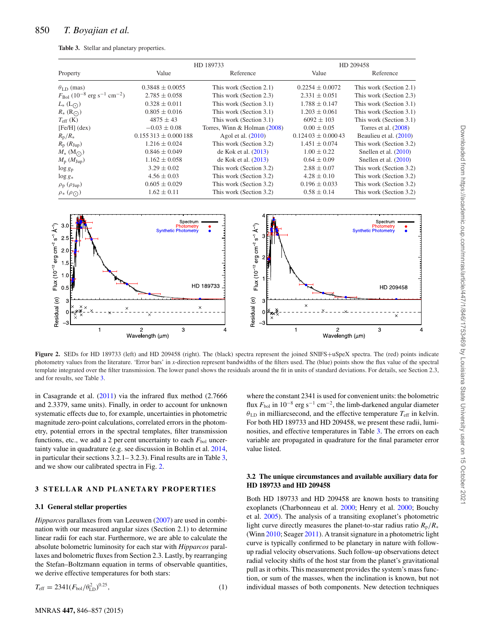<span id="page-6-0"></span>

|  | Table 3. Stellar and planetary properties. |  |  |
|--|--------------------------------------------|--|--|
|--|--------------------------------------------|--|--|

|                                                                           |                         | HD 189733                    | HD 209458             |                         |  |
|---------------------------------------------------------------------------|-------------------------|------------------------------|-----------------------|-------------------------|--|
| Property                                                                  | Value                   | Reference                    | Value                 | Reference               |  |
| $\theta_{\text{LD}}$ (mas)                                                | $0.3848 \pm 0.0055$     | This work (Section 2.1)      | $0.2254 \pm 0.0072$   | This work (Section 2.1) |  |
| $F_{\text{Bol}}$ (10 <sup>-8</sup> erg s <sup>-1</sup> cm <sup>-2</sup> ) | $2.785 \pm 0.058$       | This work (Section 2.3)      | $2.331 \pm 0.051$     | This work (Section 2.3) |  |
| $L_{*}$ ( $L_{\odot}$ )                                                   | $0.328 \pm 0.011$       | This work (Section 3.1)      | $1.788 \pm 0.147$     | This work (Section 3.1) |  |
| $R_{*}(\mathcal{R}_{\bigodot})$                                           | $0.805 \pm 0.016$       | This work (Section 3.1)      | $1.203 \pm 0.061$     | This work (Section 3.1) |  |
| $T_{\rm eff}$ (K)                                                         | $4875 \pm 43$           | This work (Section 3.1)      | $6092 \pm 103$        | This work (Section 3.1) |  |
| $[Fe/H]$ (dex)                                                            | $-0.03 \pm 0.08$        | Torres, Winn & Holman (2008) | $0.00 \pm 0.05$       | Torres et al. $(2008)$  |  |
| $R_{\rm p}/R_{\ast}$                                                      | $0.155313 \pm 0.000188$ | Agol et al. $(2010)$         | $0.12403 \pm 0.00043$ | Beaulieu et al. (2010)  |  |
| $R_{\rm p}$ ( $R_{\rm Jup}$ )                                             | $1.216 \pm 0.024$       | This work (Section 3.2)      | $1.451 \pm 0.074$     | This work (Section 3.2) |  |
| $M_* (\mathrm{M}_{\odot})$                                                | $0.846 \pm 0.049$       | de Kok et al. $(2013)$       | $1.00 \pm 0.22$       | Snellen et al. $(2010)$ |  |
| $M_{\rm p}$ ( $M_{\rm Jup}$ )                                             | $1.162 \pm 0.058$       | de Kok et al. $(2013)$       | $0.64 \pm 0.09$       | Snellen et al. $(2010)$ |  |
| $\log g_{\rm p}$                                                          | $3.29 \pm 0.02$         | This work (Section 3.2)      | $2.88 \pm 0.07$       | This work (Section 3.2) |  |
| $\log g_*$                                                                | $4.56 \pm 0.03$         | This work (Section 3.2)      | $4.28 \pm 0.10$       | This work (Section 3.2) |  |
| $\rho_{\rm p}$ ( $\rho_{\rm Jup}$ )                                       | $0.605 \pm 0.029$       | This work (Section 3.2)      | $0.196 \pm 0.033$     | This work (Section 3.2) |  |
| $\rho_*(\rho_{\bigodot})$                                                 | $1.62 \pm 0.11$         | This work (Section 3.2)      | $0.58 \pm 0.14$       | This work (Section 3.2) |  |

<span id="page-6-1"></span>

**Figure 2.** SEDs for HD 189733 (left) and HD 209458 (right). The (black) spectra represent the joined SNIFS+uSpeX spectra. The (red) points indicate photometry values from the literature. 'Error bars' in *x*-direction represent bandwidths of the filters used. The (blue) points show the flux value of the spectral template integrated over the filter transmission. The lower panel shows the residuals around the fit in units of standard deviations. For details, see Section 2.3, and for results, see Table [3.](#page-6-0)

in Casagrande et al.  $(2011)$  via the infrared flux method  $(2.7666)$ and 2.3379, same units). Finally, in order to account for unknown systematic effects due to, for example, uncertainties in photometric magnitude zero-point calculations, correlated errors in the photometry, potential errors in the spectral templates, filter transmission functions, etc., we add a 2 per cent uncertainty to each  $F_{bol}$  uncertainty value in quadrature (e.g. see discussion in Bohlin et al. [2014,](#page-11-17) in particular their sections 3.2.1– 3.2.3). Final results are in Table [3,](#page-6-0) and we show our calibrated spectra in Fig. [2.](#page-6-1)

#### **3 STELLAR AND PLANETARY PROPERTIES**

#### **3.1 General stellar properties**

*Hipparcos* parallaxes from van Leeuwen [\(2007\)](#page-12-51) are used in combination with our measured angular sizes (Section 2.1) to determine linear radii for each star. Furthermore, we are able to calculate the absolute bolometric luminosity for each star with *Hipparcos* parallaxes and bolometric fluxes from Section 2.3. Lastly, by rearranging the Stefan–Boltzmann equation in terms of observable quantities, we derive effective temperatures for both stars:

$$
T_{\rm eff} = 2341 (F_{\rm bol}/\theta_{\rm LD}^2)^{0.25},\tag{1}
$$

where the constant 2341 is used for convenient units: the bolometric flux *F*bol in 10−<sup>8</sup> erg s−<sup>1</sup> cm−2, the limb-darkened angular diameter  $\theta_{\text{LD}}$  in milliarcsecond, and the effective temperature  $T_{\text{eff}}$  in kelvin. For both HD 189733 and HD 209458, we present these radii, luminosities, and effective temperatures in Table [3.](#page-6-0) The errors on each variable are propagated in quadrature for the final parameter error value listed.

#### **3.2 The unique circumstances and available auxiliary data for HD 189733 and HD 209458**

Both HD 189733 and HD 209458 are known hosts to transiting exoplanets (Charbonneau et al. [2000;](#page-12-52) Henry et al. [2000;](#page-12-53) Bouchy et al. [2005\)](#page-11-23). The analysis of a transiting exoplanet's photometric light curve directly measures the planet-to-star radius ratio  $R_p/R_*$ (Winn [2010;](#page-12-54) Seager [2011\)](#page-12-55). A transit signature in a photometric light curve is typically confirmed to be planetary in nature with followup radial velocity observations. Such follow-up observations detect radial velocity shifts of the host star from the planet's gravitational pull as it orbits. This measurement provides the system's mass function, or sum of the masses, when the inclination is known, but not individual masses of both components. New detection techniques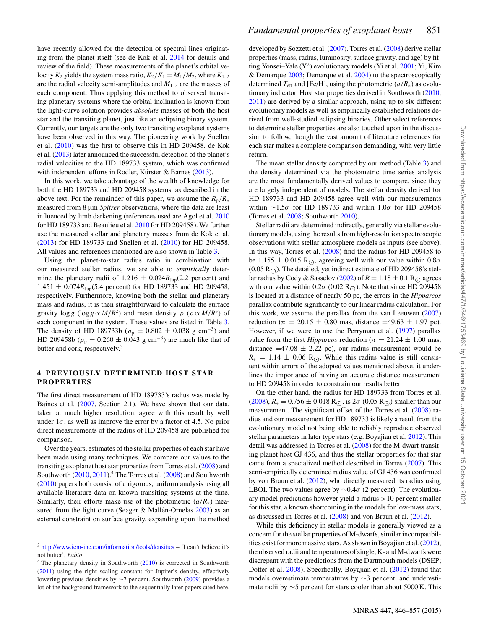have recently allowed for the detection of spectral lines originating from the planet itself (see de Kok et al. [2014](#page-12-56) for details and review of the field). These measurements of the planet's orbital velocity  $K_2$  yields the system mass ratio,  $K_2/K_1 = M_1/M_2$ , where  $K_{1,2}$ are the radial velocity semi-amplitudes and  $M_{1,2}$  are the masses of each component. Thus applying this method to observed transiting planetary systems where the orbital inclination is known from the light-curve solution provides *absolute* masses of both the host star and the transiting planet, just like an eclipsing binary system. Currently, our targets are the only two transiting exoplanet systems have been observed in this way. The pioneering work by Snellen et al. [\(2010\)](#page-12-49) was the first to observe this in HD 209458. de Kok et al. [\(2013\)](#page-12-48) later announced the successful detection of the planet's radial velocities to the HD 189733 system, which was confirmed with independent efforts in Rodler, Kürster & Barnes  $(2013)$  $(2013)$ .

In this work, we take advantage of the wealth of knowledge for both the HD 189733 and HD 209458 systems, as described in the above text. For the remainder of this paper, we assume the  $R_p/R_*$ measured from 8  $\mu$ m *Spitzer* observations, where the data are least influenced by limb darkening (references used are Agol et al. [2010](#page-11-21) for HD 189733 and Beaulieu et al. [2010](#page-11-22) for HD 209458). We further use the measured stellar and planetary masses from de Kok et al. [\(2013\)](#page-12-48) for HD 189733 and Snellen et al. [\(2010\)](#page-12-49) for HD 209458. All values and references mentioned are also shown in Table [3.](#page-6-0)

Using the planet-to-star radius ratio in combination with our measured stellar radius, we are able to *empirically* determine the planetary radii of 1.216  $\pm$  0.024 $R_{Jup}(2.2$  per cent) and  $1.451 \pm 0.074 R_{\text{Jun}}(5.4 \text{ per cent})$  for HD 189733 and HD 209458, respectively. Furthermore, knowing both the stellar and planetary mass and radius, it is then straightforward to calculate the surface gravity  $\log g$  ( $\log g \propto M/R^2$ ) and mean density  $\rho$  ( $\rho \propto M/R^3$ ) of each component in the system. These values are listed in Table [3.](#page-6-0) The density of HD 189733b ( $\rho_p = 0.802 \pm 0.038$  g cm<sup>-3</sup>) and HD 209458b ( $\rho_p = 0.260 \pm 0.043$  g cm<sup>-3</sup>) are much like that of butter and cork, respectively.<sup>3</sup>

#### **4 PREVIOUSLY DETERMINED HOST STAR PROPERTIES**

The first direct measurement of HD 189733's radius was made by Baines et al. [\(2007,](#page-11-2) Section 2.1). We have shown that our data, taken at much higher resolution, agree with this result by well under  $1\sigma$ , as well as improve the error by a factor of 4.5. No prior direct measurements of the radius of HD 209458 are published for comparison.

Over the years, estimates of the stellar properties of each star have been made using many techniques. We compare our values to the transiting exoplanet host star properties from Torres et al. [\(2008\)](#page-12-47) and Southworth [\(2010,](#page-12-58) [2011\)](#page-12-59).<sup>4</sup> The Torres et al. [\(2008\)](#page-12-47) and Southworth [\(2010\)](#page-12-58) papers both consist of a rigorous, uniform analysis using all available literature data on known transiting systems at the time. Similarly, their efforts make use of the photometric  $(a/R_*)$  measured from the light curve (Seager & Mallén-Ornelas  $2003$ ) as an external constraint on surface gravity, expanding upon the method developed by Sozzetti et al. [\(2007\)](#page-12-62). Torres et al. [\(2008\)](#page-12-47) derive stellar properties (mass, radius, luminosity, surface gravity, and age) by fitting Yonsei–Yale  $(Y^2)$  evolutionary models (Yi et al. [2001;](#page-12-63) Yi, Kim & Demarque [2003;](#page-12-64) Demarque et al. [2004\)](#page-12-65) to the spectroscopically determined  $T_{\text{eff}}$  and [Fe/H], using the photometric ( $a/R_*$ ) as evolutionary indicator. Host star properties derived in Southworth [\(2010,](#page-12-58) [2011\)](#page-12-59) are derived by a similar approach, using up to six different evolutionary models as well as empirically established relations derived from well-studied eclipsing binaries. Other select references to determine stellar properties are also touched upon in the discussion to follow, though the vast amount of literature references for each star makes a complete comparison demanding, with very little return.

The mean stellar density computed by our method (Table [3\)](#page-6-0) and the density determined via the photometric time series analysis are the most fundamentally derived values to compare, since they are largely independent of models. The stellar density derived for HD 189733 and HD 209458 agree well with our measurements within ∼1.5σ for HD 189733 and within 1.0σ for HD 209458 (Torres et al. [2008;](#page-12-47) Southworth [2010\)](#page-12-58).

Stellar radii are determined indirectly, generally via stellar evolutionary models, using the results from high-resolution spectroscopic observations with stellar atmosphere models as inputs (see above). In this way, Torres et al. [\(2008\)](#page-12-47) find the radius for HD 209458 to be 1.155  $\pm$  0.015 R<sub>O</sub>, agreeing well with our value within 0.8 $\sigma$  $(0.05 R<sub>O</sub>)$ . The detailed, yet indirect estimate of HD 209458's stel-lar radius by Cody & Sasselov [\(2002\)](#page-12-66) of  $R = 1.18 \pm 0.1$  R<sub> $\odot$ </sub> agrees with our value within  $0.2\sigma$  (0.02 R<sub>O</sub>). Note that since HD 209458 is located at a distance of nearly 50 pc, the errors in the *Hipparcos* parallax contribute significantly to our linear radius calculation. For this work, we assume the parallax from the van Leeuwen [\(2007\)](#page-12-51) reduction ( $\pi = 20.15 \pm 0.80$  mas, distance =49.63  $\pm$  1.97 pc). However, if we were to use the Perryman et al. [\(1997\)](#page-12-67) parallax value from the first *Hipparcos* reduction ( $\pi = 21.24 \pm 1.00$  mas, distance  $=47.08 \pm 2.22$  pc), our radius measurement would be  $R_* = 1.14 \pm 0.06$  R<sub>.</sub>. While this radius value is still consistent within errors of the adopted values mentioned above, it underlines the importance of having an accurate distance measurement to HD 209458 in order to constrain our results better.

On the other hand, the radius for HD 189733 from Torres et al.  $(2008)$ ,  $R_* = 0.756 \pm 0.018$  R<sub>○</sub>, is  $2\sigma$   $(0.05$  R<sub>○</sub>) smaller than our measurement. The significant offset of the Torres et al. [\(2008\)](#page-12-47) radius and our measurement for HD 189733 is likely a result from the evolutionary model not being able to reliably reproduce observed stellar parameters in later type stars (e.g. Boyajian et al. [2012\)](#page-11-0). This detail was addressed in Torres et al. [\(2008\)](#page-12-47) for the M-dwarf transiting planet host GJ 436, and thus the stellar properties for that star came from a specialized method described in Torres [\(2007\)](#page-12-68). This semi-empirically determined radius value of GJ 436 was confirmed by von Braun et al. [\(2012\)](#page-12-12), who directly measured its radius using LBOI. The two values agree by  $\sim$ 0.4 $\sigma$  (2 per cent). The evolutionary model predictions however yield a radius >10 per cent smaller for this star, a known shortcoming in the models for low-mass stars, as discussed in Torres et al. [\(2008\)](#page-12-47) and von Braun et al. [\(2012\)](#page-12-12).

While this deficiency in stellar models is generally viewed as a concern for the stellar properties of M-dwarfs, similar incompatibilities exist for more massive stars. As shown in Boyajian et al. [\(2012\)](#page-11-0), the observed radii and temperatures of single, K- and M-dwarfs were discrepant with the predictions from the Dartmouth models (DSEP; Dotter et al. [2008\)](#page-12-69). Specifically, Boyajian et al. [\(2012\)](#page-11-0) found that models overestimate temperatures by ∼3 per cent, and underestimate radii by  $\sim$ 5 per cent for stars cooler than about 5000 K. This

<sup>3</sup> <http://www.iem-inc.com/information/tools/densities> – 'I can't believe it's not butter', *Fabio*.

 $4$  The planetary density in Southworth [\(2010\)](#page-12-58) is corrected in Southworth [\(2011\)](#page-12-59) using the right scaling constant for Jupiter's density, effectively lowering previous densities by ∼7 per cent. Southworth [\(2009\)](#page-12-61) provides a lot of the background framework to the sequentially later papers cited here.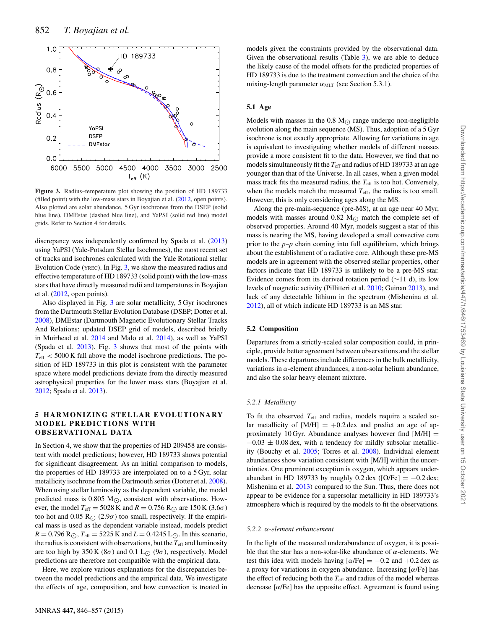<span id="page-8-0"></span>

**Figure 3.** Radius–temperature plot showing the position of HD 189733 (filled point) with the low-mass stars in Boyajian et al. [\(2012,](#page-11-0) open points). Also plotted are solar abundance, 5 Gyr isochrones from the DSEP (solid blue line), DMEstar (dashed blue line), and YaPSI (solid red line) model grids. Refer to Section 4 for details.

discrepancy was independently confirmed by Spada et al. [\(2013\)](#page-12-70) using YaPSI (Yale-Potsdam Stellar Isochrones), the most recent set of tracks and isochrones calculated with the Yale Rotational stellar Evolution Code (YREC). In Fig. [3,](#page-8-0) we show the measured radius and effective temperature of HD 189733 (solid point) with the low-mass stars that have directly measured radii and temperatures in Boyajian et al. [\(2012,](#page-11-0) open points).

Also displayed in Fig. [3](#page-8-0) are solar metallicity, 5 Gyr isochrones from the Dartmouth Stellar Evolution Database (DSEP; Dotter et al. [2008\)](#page-12-69), DMEstar (Dartmouth Magnetic Evolutionary Stellar Tracks And Relations; updated DSEP grid of models, described briefly in Muirhead et al. [2014](#page-12-71) and Malo et al. [2014\)](#page-12-72), as well as YaPSI (Spada et al. [2013\)](#page-12-70). Fig. [3](#page-8-0) shows that most of the points with  $T_{\text{eff}}$  < 5000 K fall above the model isochrone predictions. The position of HD 189733 in this plot is consistent with the parameter space where model predictions deviate from the directly measured astrophysical properties for the lower mass stars (Boyajian et al. [2012;](#page-11-0) Spada et al. [2013\)](#page-12-70).

#### **5 HARMONIZING STELLAR EVOLUTIONARY MODEL PREDICTIONS WITH OBSERVATIONAL DATA**

In Section 4, we show that the properties of HD 209458 are consistent with model predictions; however, HD 189733 shows potential for significant disagreement. As an initial comparison to models, the properties of HD 189733 are interpolated on to a 5 Gyr, solar metallicity isochrone from the Dartmouth series (Dotter et al. [2008\)](#page-12-69). When using stellar luminosity as the dependent variable, the model predicted mass is 0.805  $M_{\odot}$ , consistent with observations. However, the model  $T_{\text{eff}} = 5028 \text{ K}$  and  $R = 0.756 \text{ R}_{\odot}$  are 150 K (3.6 $\sigma$ ) too hot and 0.05 R<sub> $\odot$ </sub> (2.9 $\sigma$ ) too small, respectively. If the empirical mass is used as the dependent variable instead, models predict  $R = 0.796$  R<sub>(c)</sub>,  $T_{\text{eff}} = 5225$  K and  $L = 0.4245$  L<sub>(c)</sub>. In this scenario, the radius is consistent with observations, but the  $T_{\text{eff}}$  and luminosity are too high by 350 K (8 $\sigma$ ) and 0.1 L<sub>(2)</sub> (9 $\sigma$ ), respectively. Model predictions are therefore not compatible with the empirical data.

Here, we explore various explanations for the discrepancies between the model predictions and the empirical data. We investigate the effects of age, composition, and how convection is treated in models given the constraints provided by the observational data. Given the observational results (Table [3\)](#page-6-0), we are able to deduce the likely cause of the model offsets for the predicted properties of HD 189733 is due to the treatment convection and the choice of the mixing-length parameter  $\alpha_{\text{MLT}}$  (see Section 5.3.1).

#### **5.1 Age**

Models with masses in the 0.8  $M_{\odot}$  range undergo non-negligible evolution along the main sequence (MS). Thus, adoption of a 5 Gyr isochrone is not exactly appropriate. Allowing for variations in age is equivalent to investigating whether models of different masses provide a more consistent fit to the data. However, we find that no models simultaneously fit the *T*eff and radius of HD 189733 at an age younger than that of the Universe. In all cases, when a given model mass track fits the measured radius, the  $T_{\text{eff}}$  is too hot. Conversely, when the models match the measured  $T_{\text{eff}}$ , the radius is too small. However, this is only considering ages along the MS.

Along the pre-main-sequence (pre-MS), at an age near 40 Myr, models with masses around 0.82 M $_{\odot}$  match the complete set of observed properties. Around 40 Myr, models suggest a star of this mass is nearing the MS, having developed a small convective core prior to the  $p-p$  chain coming into full equilibrium, which brings about the establishment of a radiative core. Although these pre-MS models are in agreement with the observed stellar properties, other factors indicate that HD 189733 is unlikely to be a pre-MS star. Evidence comes from its derived rotation period (∼11 d), its low levels of magnetic activity (Pillitteri et al. [2010;](#page-12-73) Guinan [2013\)](#page-12-74), and lack of any detectable lithium in the spectrum (Mishenina et al. [2012\)](#page-12-75), all of which indicate HD 189733 is an MS star.

#### **5.2 Composition**

Departures from a strictly-scaled solar composition could, in principle, provide better agreement between observations and the stellar models. These departures include differences in the bulk metallicity, variations in α-element abundances, a non-solar helium abundance, and also the solar heavy element mixture.

#### *5.2.1 Metallicity*

To fit the observed *T*eff and radius, models require a scaled solar metallicity of  $[M/H] = +0.2$  dex and predict an age of approximately 10 Gyr. Abundance analyses however find  $[M/H]$  =  $-0.03 \pm 0.08$  dex, with a tendency for mildly subsolar metallicity (Bouchy et al. [2005;](#page-11-23) Torres et al. [2008\)](#page-12-47). Individual element abundances show variation consistent with [M/H] within the uncertainties. One prominent exception is oxygen, which appears underabundant in HD 189733 by roughly  $0.2 \text{ dex}$  ([O/Fe] =  $-0.2 \text{ dex}$ ; Mishenina et al. [2013\)](#page-12-76) compared to the Sun. Thus, there does not appear to be evidence for a supersolar metallicity in HD 189733's atmosphere which is required by the models to fit the observations.

#### *5.2.2* α*-element enhancement*

In the light of the measured underabundance of oxygen, it is possible that the star has a non-solar-like abundance of  $\alpha$ -elements. We test this idea with models having  $[\alpha/\text{Fe}] = -0.2$  and  $+0.2$  dex as a proxy for variations in oxygen abundance. Increasing [α/Fe] has the effect of reducing both the  $T_{\text{eff}}$  and radius of the model whereas decrease  $[\alpha/\text{Fe}]$  has the opposite effect. Agreement is found using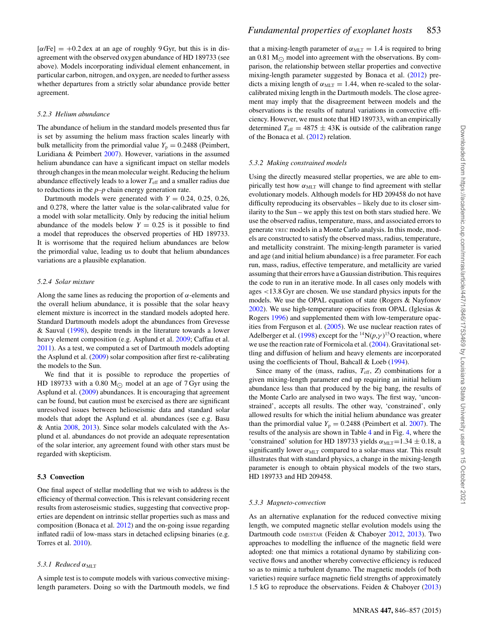$[\alpha/\text{Fe}] = +0.2 \text{ dex}$  at an age of roughly 9 Gyr, but this is in disagreement with the observed oxygen abundance of HD 189733 (see above). Models incorporating individual element enhancement, in particular carbon, nitrogen, and oxygen, are needed to further assess whether departures from a strictly solar abundance provide better agreement.

#### *5.2.3 Helium abundance*

The abundance of helium in the standard models presented thus far is set by assuming the helium mass fraction scales linearly with bulk metallicity from the primordial value  $Y_p = 0.2488$  (Peimbert, Luridiana & Peimbert [2007\)](#page-12-77). However, variations in the assumed helium abundance can have a significant impact on stellar models through changes in the mean molecular weight. Reducing the helium abundance effectively leads to a lower *T*eff and a smaller radius due to reductions in the *p–p* chain energy generation rate.

Dartmouth models were generated with  $Y = 0.24, 0.25, 0.26$ , and 0.278, where the latter value is the solar-calibrated value for a model with solar metallicity. Only by reducing the initial helium abundance of the models below  $Y = 0.25$  is it possible to find a model that reproduces the observed properties of HD 189733. It is worrisome that the required helium abundances are below the primordial value, leading us to doubt that helium abundances variations are a plausible explanation.

#### *5.2.4 Solar mixture*

Along the same lines as reducing the proportion of  $\alpha$ -elements and the overall helium abundance, it is possible that the solar heavy element mixture is incorrect in the standard models adopted here. Standard Dartmouth models adopt the abundances from Grevesse & Sauval [\(1998\)](#page-12-78), despite trends in the literature towards a lower heavy element composition (e.g. Asplund et al. [2009;](#page-11-24) Caffau et al. [2011\)](#page-11-25). As a test, we computed a set of Dartmouth models adopting the Asplund et al. [\(2009\)](#page-11-24) solar composition after first re-calibrating the models to the Sun.

We find that it is possible to reproduce the properties of HD 189733 with a 0.80  $M_{\odot}$  model at an age of 7 Gyr using the Asplund et al. [\(2009\)](#page-11-24) abundances. It is encouraging that agreement can be found, but caution must be exercised as there are significant unresolved issues between helioseismic data and standard solar models that adopt the Asplund et al. abundances (see e.g. Basu & Antia [2008,](#page-11-26) [2013\)](#page-11-27). Since solar models calculated with the Asplund et al. abundances do not provide an adequate representation of the solar interior, any agreement found with other stars must be regarded with skepticism.

#### **5.3 Convection**

One final aspect of stellar modelling that we wish to address is the efficiency of thermal convection. This is relevant considering recent results from asteroseismic studies, suggesting that convective properties are dependent on intrinsic stellar properties such as mass and composition (Bonaca et al. [2012\)](#page-11-28) and the on-going issue regarding inflated radii of low-mass stars in detached eclipsing binaries (e.g. Torres et al. [2010\)](#page-12-11).

#### *5.3.1 Reduced* α<sub>MLT</sub>

A simple test is to compute models with various convective mixinglength parameters. Doing so with the Dartmouth models, we find that a mixing-length parameter of  $\alpha_{\text{MLT}} = 1.4$  is required to bring an 0.81  $M_{\odot}$  model into agreement with the observations. By comparison, the relationship between stellar properties and convective mixing-length parameter suggested by Bonaca et al. [\(2012\)](#page-11-28) predicts a mixing length of  $\alpha_{MLT} = 1.44$ , when re-scaled to the solarcalibrated mixing length in the Dartmouth models. The close agreement may imply that the disagreement between models and the observations is the results of natural variations in convective efficiency. However, we must note that HD 189733, with an empirically determined  $T_{\text{eff}} = 4875 \pm 43$ K is outside of the calibration range of the Bonaca et al. [\(2012\)](#page-11-28) relation.

#### *5.3.2 Making constrained models*

Using the directly measured stellar properties, we are able to empirically test how  $\alpha_{\text{MLT}}$  will change to find agreement with stellar evolutionary models. Although models for HD 209458 do not have difficulty reproducing its observables – likely due to its closer similarity to the Sun – we apply this test on both stars studied here. We use the observed radius, temperature, mass, and associated errors to generate YREC models in a Monte Carlo analysis. In this mode, models are constructed to satisfy the observed mass, radius, temperature, and metallicity constraint. The mixing-length parameter is varied and age (and initial helium abundance) is a free parameter. For each run, mass, radius, effective temperature, and metallicity are varied assuming that their errors have a Gaussian distribution. This requires the code to run in an iterative mode. In all cases only models with ages <13.8 Gyr are chosen. We use standard physics inputs for the models. We use the OPAL equation of state (Rogers & Nayfonov [2002\)](#page-12-79). We use high-temperature opacities from OPAL (Iglesias & Rogers [1996\)](#page-12-80) and supplemented them with low-temperature opacities from Ferguson et al. [\(2005\)](#page-12-81). We use nuclear reaction rates of Adelberger et al. [\(1998\)](#page-11-29) except for the <sup>14</sup>N $(p, \gamma)$ <sup>15</sup>O reaction, where we use the reaction rate of Formicola et al. [\(2004\)](#page-12-82). Gravitational settling and diffusion of helium and heavy elements are incorporated using the coefficients of Thoul, Bahcall & Loeb [\(1994\)](#page-12-83).

Since many of the (mass, radius,  $T_{\text{eff}}$ , *Z*) combinations for a given mixing-length parameter end up requiring an initial helium abundance less than that produced by the big bang, the results of the Monte Carlo are analysed in two ways. The first way, 'unconstrained', accepts all results. The other way, 'constrained', only allowed results for which the initial helium abundance was greater than the primordial value  $Y_p = 0.2488$  (Peimbert et al. [2007\)](#page-12-77). The results of the analysis are shown in Table [4](#page-10-0) and in Fig. [4,](#page-10-1) where the 'constrained' solution for HD 189733 yields  $\alpha_{MLT}$ =1.34 ± 0.18, a significantly lower  $\alpha_{\text{MLT}}$  compared to a solar-mass star. This result illustrates that with standard physics, a change in the mixing-length parameter is enough to obtain physical models of the two stars, HD 189733 and HD 209458.

#### *5.3.3 Magneto-convection*

As an alternative explanation for the reduced convective mixing length, we computed magnetic stellar evolution models using the Dartmouth code DMESTAR (Feiden & Chaboyer [2012,](#page-12-84) [2013\)](#page-12-85). Two approaches to modelling the influence of the magnetic field were adopted: one that mimics a rotational dynamo by stabilizing convective flows and another whereby convective efficiency is reduced so as to mimic a turbulent dynamo. The magnetic models (of both varieties) require surface magnetic field strengths of approximately 1.5 kG to reproduce the observations. Feiden & Chaboyer [\(2013\)](#page-12-85)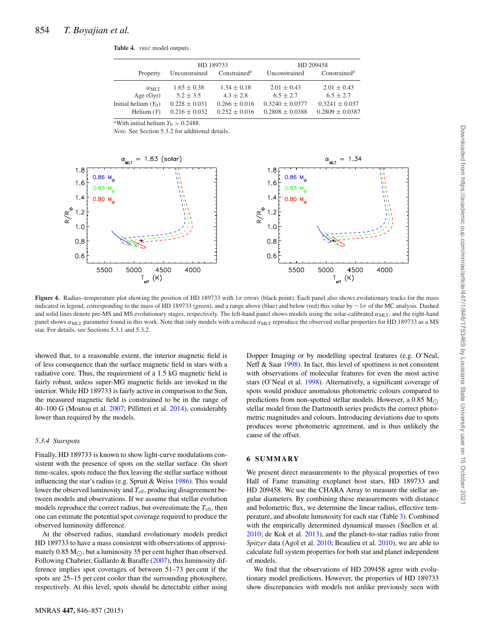<span id="page-10-0"></span>

|                        |                   | HD 189733                             | HD 209458           |                                       |  |
|------------------------|-------------------|---------------------------------------|---------------------|---------------------------------------|--|
| Property               | Unconstrained     | Constrained <sup><math>a</math></sup> | Unconstrained       | Constrained <sup><math>a</math></sup> |  |
| $\alpha_{\rm MIT}$     | $1.65 \pm 0.38$   | $1.34 \pm 0.18$                       | $2.01 \pm 0.43$     | $2.01 \pm 0.43$                       |  |
| Age $(Gyr)$            | $5.2 + 3.5$       | $4.3 \pm 2.8$                         | $6.5 + 2.7$         | $6.5 + 2.7$                           |  |
| Initial helium $(Y_0)$ | $0.228 \pm 0.031$ | $0.266 \pm 0.016$                     | $0.3240 + 0.0377$   | $0.3241 + 0.037$                      |  |
| Helium $(Y)$           | $0.216 \pm 0.032$ | $0.252 \pm 0.016$                     | $0.2808 \pm 0.0388$ | $0.2809 \pm 0.0387$                   |  |

**Table 4.** YREC model outputs.

 $\sqrt{a}$ With initial helium  $Y_0 > 0.2488$ .

*Note.* See Section 5.3.2 for additional details.

<span id="page-10-1"></span>

**Figure 4.** Radius–temperature plot showing the position of HD 189733 with  $1\sigma$  errors (black point). Each panel also shows evolutionary tracks for the mass indicated in legend, corresponding to the mass of HD 189733 (green), and a range above (blue) and below (red) this value by ∼1σ of the MC analysis. Dashed and solid lines denote pre-MS and MS evolutionary stages, respectively. The left-hand panel shows models using the solar-calibrated  $\alpha_{\text{MLT}}$ , and the right-hand panel shows  $\alpha_{\text{MLT}}$  parameter found in this work. Note that only models with a reduced  $\alpha_{\text{MLT}}$  reproduce the observed stellar properties for HD 189733 as a MS star. For details, see Sections 5.3.1 and 5.3.2.

showed that, to a reasonable extent, the interior magnetic field is of less consequence than the surface magnetic field in stars with a radiative core. Thus, the requirement of a 1.5 kG magnetic field is fairly robust, unless super-MG magnetic fields are invoked in the interior. While HD 189733 is fairly active in comparison to the Sun, the measured magnetic field is constrained to be in the range of 40–100 G (Moutou et al. [2007;](#page-12-86) Pillitteri et al. [2014\)](#page-12-87), considerably lower than required by the models.

#### *5.3.4 Starspots*

Finally, HD 189733 is known to show light-curve modulations consistent with the presence of spots on the stellar surface. On short time-scales, spots reduce the flux leaving the stellar surface without influencing the star's radius (e.g. Spruit & Weiss [1986\)](#page-12-88). This would lower the observed luminosity and *T*eff, producing disagreement between models and observations. If we assume that stellar evolution models reproduce the correct radius, but overestimate the  $T_{\text{eff}}$ , then one can estimate the potential spot coverage required to produce the observed luminosity difference.

At the observed radius, standard evolutionary models predict HD 189733 to have a mass consistent with observations of approximately 0.85 M $_{\odot}$ , but a luminosity 35 per cent higher than observed. Following Chabrier, Gallardo & Baraffe [\(2007\)](#page-12-89), this luminosity difference implies spot coverages of between 51–73 per cent if the spots are 25–15 per cent cooler than the surrounding photosphere, respectively. At this level, spots should be detectable either using

Dopper Imaging or by modelling spectral features (e.g. O'Neal, Neff & Saar [1998\)](#page-12-90). In fact, this level of spottiness is not consistent with observations of molecular features for even the most active stars (O'Neal et al. [1998\)](#page-12-90). Alternatively, a significant coverage of spots would produce anomalous photometric colours compared to predictions from non-spotted stellar models. However, a 0.85  $M_{\odot}$ stellar model from the Dartmouth series predicts the correct photometric magnitudes and colours. Introducing deviations due to spots produces worse photometric agreement, and is thus unlikely the cause of the offset.

#### **6 SUMMARY**

We present direct measurements to the physical properties of two Hall of Fame transiting exoplanet host stars, HD 189733 and HD 209458. We use the CHARA Array to measure the stellar angular diameters. By combining these measurements with distance and bolometric flux, we determine the linear radius, effective temperature, and absolute luminosity for each star (Table [3\)](#page-6-0). Combined with the empirically determined dynamical masses (Snellen et al. [2010;](#page-12-49) de Kok et al. [2013\)](#page-12-48), and the planet-to-star radius ratio from *Spitzer* data (Agol et al. [2010;](#page-11-21) Beaulieu et al. [2010\)](#page-11-22), we are able to calculate full system properties for both star and planet independent of models.

We find that the observations of HD 209458 agree with evolutionary model predictions. However, the properties of HD 189733 show discrepancies with models not unlike previously seen with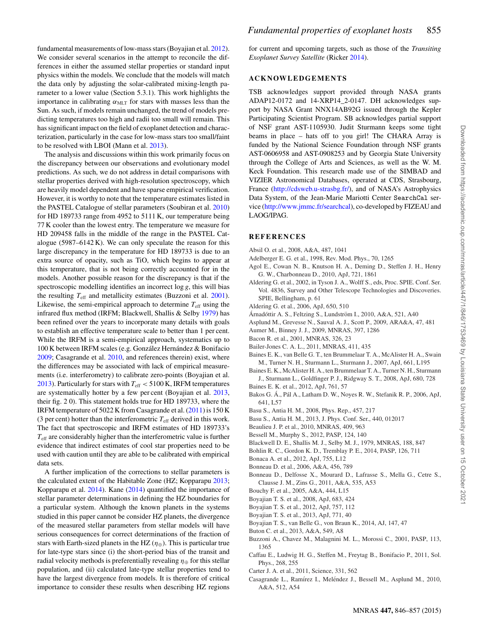fundamental measurements of low-mass stars (Boyajian et al. [2012\)](#page-11-0). We consider several scenarios in the attempt to reconcile the differences in either the assumed stellar properties or standard input physics within the models. We conclude that the models will match the data only by adjusting the solar-calibrated mixing-length parameter to a lower value (Section 5.3.1). This work highlights the importance in calibrating  $\alpha_{\text{MIT}}$  for stars with masses less than the Sun. As such, if models remain unchanged, the trend of models predicting temperatures too high and radii too small will remain. This has significant impact on the field of exoplanet detection and characterization, particularly in the case for low-mass stars too small/faint to be resolved with LBOI (Mann et al. [2013\)](#page-12-45).

The analysis and discussions within this work primarily focus on the discrepancy between our observations and evolutionary model predictions. As such, we do not address in detail comparisons with stellar properties derived with high-resolution spectroscopy, which are heavily model dependent and have sparse empirical verification. However, it is worthy to note that the temperature estimates listed in the PASTEL Catalogue of stellar parameters (Soubiran et al. [2010\)](#page-12-91) for HD 189733 range from 4952 to 5111 K, our temperature being 77 K cooler than the lowest entry. The temperature we measure for HD 209458 falls in the middle of the range in the PASTEL Catalogue (5987–6142 K). We can only speculate the reason for this large discrepancy in the temperature for HD 189733 is due to an extra source of opacity, such as TiO, which begins to appear at this temperature, that is not being correctly accounted for in the models. Another possible reason for the discrepancy is that if the spectroscopic modelling identifies an incorrect log *g*, this will bias the resulting  $T_{\text{eff}}$  and metallicity estimates (Buzzoni et al. [2001\)](#page-11-30). Likewise, the semi-empirical approach to determine  $T_{\text{eff}}$  using the infrared flux method (IRFM; Blackwell, Shallis & Selby [1979\)](#page-11-31) has been refined over the years to incorporate many details with goals to establish an effective temperature scale to better than 1 per cent. While the IRFM is a semi-empirical approach, systematics up to 100 K between IRFM scales (e.g. González Hernández & Bonifacio [2009;](#page-12-92) Casagrande et al. [2010,](#page-11-32) and references therein) exist, where the differences may be associated with lack of empirical measurements (i.e. interferometry) to calibrate zero-points (Boyajian et al. [2013\)](#page-11-8). Particularly for stars with  $T_{\text{eff}} < 5100 \text{ K}$ , IRFM temperatures are systematically hotter by a few per cent (Boyajian et al. [2013,](#page-11-8) their fig. 2 0). This statement holds true for HD 189733, where the IRFM temperature of 5022 K from Casagrande et al. [\(2011\)](#page-12-50) is 150 K (3 per cent) hotter than the interferometric  $T_{\text{eff}}$  derived in this work. The fact that spectroscopic and IRFM estimates of HD 189733's  $T_{\text{eff}}$  are considerably higher than the interferometric value is further evidence that indirect estimates of cool star properties need to be used with caution until they are able to be calibrated with empirical data sets.

A further implication of the corrections to stellar parameters is the calculated extent of the Habitable Zone (HZ; Kopparapu [2013;](#page-12-93) Kopparapu et al. [2014\)](#page-12-94). Kane [\(2014\)](#page-12-95) quantified the importance of stellar parameter determinations in defining the HZ boundaries for a particular system. Although the known planets in the systems studied in this paper cannot be consider HZ planets, the divergence of the measured stellar parameters from stellar models will have serious consequences for correct determinations of the fraction of stars with Earth-sized planets in the HZ ( $\eta_{\oplus}$ ). This is particular true for late-type stars since (i) the short-period bias of the transit and radial velocity methods is preferentially revealing  $\eta_{\oplus}$  for this stellar population, and (ii) calculated late-type stellar properties tend to have the largest divergence from models. It is therefore of critical importance to consider these results when describing HZ regions

for current and upcoming targets, such as those of the *Transiting Exoplanet Survey Satellite* (Ricker [2014\)](#page-12-96).

#### **ACKNOWLEDGEMENTS**

TSB acknowledges support provided through NASA grants ADAP12-0172 and 14-XRP14\_2-0147. DH acknowledges support by NASA Grant NNX14AB92G issued through the Kepler Participating Scientist Program. SB acknowledges partial support of NSF grant AST-1105930. Judit Sturmann keeps some tight beams in place – hats off to you girl! The CHARA Array is funded by the National Science Foundation through NSF grants AST-0606958 and AST-0908253 and by Georgia State University through the College of Arts and Sciences, as well as the W. M. Keck Foundation. This research made use of the SIMBAD and VIZIER Astronomical Databases, operated at CDS, Strasbourg, France [\(http://cdsweb.u-strasbg.fr/\)](http://cdsweb.u-strasbg.fr/), and of NASA's Astrophysics Data System, of the Jean-Marie Mariotti Center SearchCal service [\(http://www.jmmc.fr/searchcal\)](http://www.jmmc.fr/searchcal), co-developed by FIZEAU and LAOG/IPAG.

#### **REFERENCES**

- <span id="page-11-9"></span>Absil O. et al., 2008, A&A, 487, 1041
- <span id="page-11-29"></span>Adelberger E. G. et al., 1998, Rev. Mod. Phys., 70, 1265
- <span id="page-11-21"></span>Agol E., Cowan N. B., Knutson H. A., Deming D., Steffen J. H., Henry G. W., Charbonneau D., 2010, ApJ, 721, 1861
- <span id="page-11-12"></span>Aldering G. et al., 2002, in Tyson J. A., Wolff S., eds, Proc. SPIE. Conf. Ser. Vol. 4836, Survey and Other Telescope Technologies and Discoveries. SPIE, Bellingham, p. 61
- <span id="page-11-14"></span>Aldering G. et al., 2006, ApJ, 650, 510
- <span id="page-11-20"></span>Árnadóttir A. S., Feltzing S., Lundström I., 2010, A&A, 521, A40
- <span id="page-11-24"></span>Asplund M., Grevesse N., Sauval A. J., Scott P., 2009, ARA&A, 47, 481
- <span id="page-11-19"></span>Aumer M., Binney J. J., 2009, MNRAS, 397, 1286
- <span id="page-11-13"></span>Bacon R. et al., 2001, MNRAS, 326, 23
- <span id="page-11-16"></span>Bailer-Jones C. A. L., 2011, MNRAS, 411, 435
- <span id="page-11-2"></span>Baines E. K., van Belle G. T., ten Brummelaar T. A., McAlister H. A., Swain M., Turner N. H., Sturmann L., Sturmann J., 2007, ApJ, 661, L195
- <span id="page-11-1"></span>Baines E. K., McAlister H. A., ten Brummelaar T. A., Turner N. H., Sturmann J., Sturmann L., Goldfinger P. J., Ridgway S. T., 2008, ApJ, 680, 728
- <span id="page-11-5"></span>Baines E. K. et al., 2012, ApJ, 761, 57
- <span id="page-11-10"></span>Bakos G. Á., Pál A., Latham D. W., Noyes R. W., Stefanik R. P., 2006, ApJ, 641, L57
- <span id="page-11-26"></span>Basu S., Antia H. M., 2008, Phys. Rep., 457, 217
- <span id="page-11-27"></span>Basu S., Antia H. M., 2013, J. Phys. Conf. Ser., 440, 012017
- <span id="page-11-22"></span>Beaulieu J. P. et al., 2010, MNRAS, 409, 963
- <span id="page-11-18"></span>Bessell M., Murphy S., 2012, PASP, 124, 140
- <span id="page-11-31"></span>Blackwell D. E., Shallis M. J., Selby M. J., 1979, MNRAS, 188, 847
- <span id="page-11-17"></span>Bohlin R. C., Gordon K. D., Tremblay P. E., 2014, PASP, 126, 711
- <span id="page-11-28"></span>Bonaca A. et al., 2012, ApJ, 755, L12
- <span id="page-11-6"></span>Bonneau D. et al., 2006, A&A, 456, 789
- <span id="page-11-7"></span>Bonneau D., Delfosse X., Mourard D., Lafrasse S., Mella G., Cetre S., Clausse J. M., Zins G., 2011, A&A, 535, A53
- <span id="page-11-23"></span>Bouchy F. et al., 2005, A&A, 444, L15
- <span id="page-11-11"></span>Boyajian T. S. et al., 2008, ApJ, 683, 424
- <span id="page-11-0"></span>Boyajian T. S. et al., 2012, ApJ, 757, 112
- <span id="page-11-8"></span>Boyajian T. S. et al., 2013, ApJ, 771, 40
- <span id="page-11-4"></span>Boyajian T. S., van Belle G., von Braun K., 2014, AJ, 147, 47
- <span id="page-11-15"></span>Buton C. et al., 2013, A&A, 549, A8
- <span id="page-11-30"></span>Buzzoni A., Chavez M., Malagnini M. L., Morossi C., 2001, PASP, 113, 1365
- <span id="page-11-25"></span>Caffau E., Ludwig H. G., Steffen M., Freytag B., Bonifacio P., 2011, Sol. Phys., 268, 255
- <span id="page-11-3"></span>Carter J. A. et al., 2011, Science, 331, 562
- <span id="page-11-32"></span>Casagrande L., Ramírez I., Meléndez J., Bessell M., Asplund M., 2010, A&A, 512, A54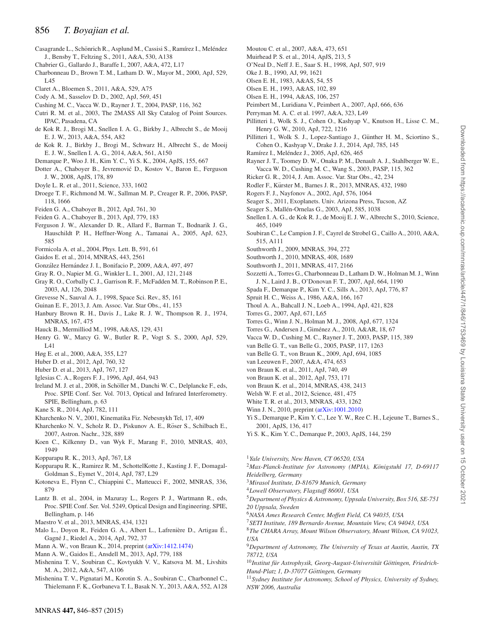- <span id="page-12-50"></span>Casagrande L., Schönrich R., Asplund M., Cassisi S., Ramírez I., Meléndez J., Bensby T., Feltzing S., 2011, A&A, 530, A138
- <span id="page-12-89"></span>Chabrier G., Gallardo J., Baraffe I., 2007, A&A, 472, L17
- <span id="page-12-52"></span>Charbonneau D., Brown T. M., Latham D. W., Mayor M., 2000, ApJ, 529, L45
- <span id="page-12-27"></span>Claret A., Bloemen S., 2011, A&A, 529, A75
- <span id="page-12-66"></span>Cody A. M., Sasselov D. D., 2002, ApJ, 569, 451
- <span id="page-12-32"></span>Cushing M. C., Vacca W. D., Rayner J. T., 2004, PASP, 116, 362
- <span id="page-12-36"></span>Cutri R. M. et al., 2003, The 2MASS All Sky Catalog of Point Sources. IPAC, Pasadena, CA
- <span id="page-12-48"></span>de Kok R. J., Brogi M., Snellen I. A. G., Birkby J., Albrecht S., de Mooij E. J. W., 2013, A&A, 554, A82
- <span id="page-12-56"></span>de Kok R. J., Birkby J., Brogi M., Schwarz H., Albrecht S., de Mooij E. J. W., Snellen I. A. G., 2014, A&A, 561, A150
- <span id="page-12-65"></span>Demarque P., Woo J. H., Kim Y. C., Yi S. K., 2004, ApJS, 155, 667
- <span id="page-12-69"></span>Dotter A., Chaboyer B., Jevremović D., Kostov V., Baron E., Ferguson J. W., 2008, ApJS, 178, 89
- <span id="page-12-17"></span>Doyle L. R. et al., 2011, Science, 333, 1602
- <span id="page-12-43"></span>Droege T. F., Richmond M. W., Sallman M. P., Creager R. P., 2006, PASP, 118, 1666
- <span id="page-12-84"></span>Feiden G. A., Chaboyer B., 2012, ApJ, 761, 30
- <span id="page-12-85"></span>Feiden G. A., Chaboyer B., 2013, ApJ, 779, 183
- <span id="page-12-81"></span>Ferguson J. W., Alexander D. R., Allard F., Barman T., Bodnarik J. G., Hauschildt P. H., Heffner-Wong A., Tamanai A., 2005, ApJ, 623, 585
- <span id="page-12-82"></span>Formicola A. et al., 2004, Phys. Lett. B, 591, 61
- <span id="page-12-30"></span>Gaidos E. et al., 2014, MNRAS, 443, 2561
- <span id="page-12-92"></span>González Hernández J. I., Bonifacio P., 2009, A&A, 497, 497
- <span id="page-12-20"></span>Gray R. O., Napier M. G., Winkler L. I., 2001, AJ, 121, 2148
- <span id="page-12-19"></span>Gray R. O., Corbally C. J., Garrison R. F., McFadden M. T., Robinson P. E., 2003, AJ, 126, 2048
- <span id="page-12-78"></span>Grevesse N., Sauval A. J., 1998, Space Sci. Rev., 85, 161
- <span id="page-12-74"></span>Guinan E. F., 2013, J. Am. Assoc. Var. Star Obs., 41, 153
- <span id="page-12-26"></span>Hanbury Brown R. H., Davis J., Lake R. J. W., Thompson R. J., 1974, MNRAS, 167, 475
- <span id="page-12-40"></span>Hauck B., Mermilliod M., 1998, A&AS, 129, 431
- <span id="page-12-53"></span>Henry G. W., Marcy G. W., Butler R. P., Vogt S. S., 2000, ApJ, 529,  $IA1$
- <span id="page-12-41"></span>Høg E. et al., 2000, A&A, 355, L27
- <span id="page-12-22"></span>Huber D. et al., 2012, ApJ, 760, 32
- <span id="page-12-16"></span>Huber D. et al., 2013, ApJ, 767, 127
- <span id="page-12-80"></span>Iglesias C. A., Rogers F. J., 1996, ApJ, 464, 943
- <span id="page-12-21"></span>Ireland M. J. et al., 2008, in Schöller M., Danchi W. C., Delplancke F., eds, Proc. SPIE Conf. Ser. Vol. 7013, Optical and Infrared Interferometry. SPIE, Bellingham, p. 63
- <span id="page-12-95"></span>Kane S. R., 2014, ApJ, 782, 111
- <span id="page-12-42"></span>Kharchenko N. V., 2001, Kinematika Fiz. Nebesnykh Tel, 17, 409
- <span id="page-12-44"></span>Kharchenko N. V., Scholz R. D., Piskunov A. E., Röser S., Schilbach E., 2007, Astron. Nachr., 328, 889
- <span id="page-12-37"></span>Koen C., Kilkenny D., van Wyk F., Marang F., 2010, MNRAS, 403, 1949
- <span id="page-12-93"></span>Kopparapu R. K., 2013, ApJ, 767, L8
- <span id="page-12-94"></span>Kopparapu R. K., Ramirez R. M., SchottelKotte J., Kasting J. F., Domagal-Goldman S., Eymet V., 2014, ApJ, 787, L29
- <span id="page-12-35"></span>Kotoneva E., Flynn C., Chiappini C., Matteucci F., 2002, MNRAS, 336, 879
- <span id="page-12-28"></span>Lantz B. et al., 2004, in Mazuray L., Rogers P. J., Wartmann R., eds, Proc. SPIE Conf. Ser. Vol. 5249, Optical Design and Engineering. SPIE, Bellingham, p. 146
- <span id="page-12-23"></span>Maestro V. et al., 2013, MNRAS, 434, 1321
- <span id="page-12-72"></span>Malo L., Doyon R., Feiden G. A., Albert L., Lafrenière D., Artigau É., Gagne J., Riedel A., 2014, ApJ, 792, 37 ´
- Mann A. W., von Braun K., 2014, preprint [\(arXiv:1412.1474\)](http://arxiv.org/abs/1412.1474)
- <span id="page-12-45"></span>Mann A. W., Gaidos E., Ansdell M., 2013, ApJ, 779, 188
- <span id="page-12-75"></span>Mishenina T. V., Soubiran C., Kovtyukh V. V., Katsova M. M., Livshits M. A., 2012, A&A, 547, A106
- <span id="page-12-76"></span>Mishenina T. V., Pignatari M., Korotin S. A., Soubiran C., Charbonnel C., Thielemann F. K., Gorbaneva T. I., Basak N. Y., 2013, A&A, 552, A128
- <span id="page-12-86"></span>Moutou C. et al., 2007, A&A, 473, 651
- <span id="page-12-71"></span>Muirhead P. S. et al., 2014, ApJS, 213, 5
- <span id="page-12-90"></span>O'Neal D., Neff J. E., Saar S. H., 1998, ApJ, 507, 919
- <span id="page-12-29"></span>Oke J. B., 1990, AJ, 99, 1621
- <span id="page-12-38"></span>Olsen E. H., 1983, A&AS, 54, 55
- <span id="page-12-34"></span>Olsen E. H., 1993, A&AS, 102, 89
- <span id="page-12-39"></span>Olsen E. H., 1994, A&AS, 106, 257
- <span id="page-12-77"></span>Peimbert M., Luridiana V., Peimbert A., 2007, ApJ, 666, 636
- <span id="page-12-67"></span>Perryman M. A. C. et al. 1997, A&A, 323, L49
- <span id="page-12-73"></span>Pillitteri I., Wolk S. J., Cohen O., Kashyap V., Knutson H., Lisse C. M., Henry G. W., 2010, ApJ, 722, 1216
- <span id="page-12-87"></span>Pillitteri I., Wolk S. J., Lopez-Santiago J., Günther H. M., Sciortino S., Cohen O., Kashyap V., Drake J. J., 2014, ApJ, 785, 145
- <span id="page-12-46"></span>Ramírez I., Meléndez J., 2005, ApJ, 626, 465
- <span id="page-12-31"></span>Rayner J. T., Toomey D. W., Onaka P. M., Denault A. J., Stahlberger W. E., Vacca W. D., Cushing M. C., Wang S., 2003, PASP, 115, 362
- <span id="page-12-96"></span>Ricker G. R., 2014, J. Am. Assoc. Var. Star Obs., 42, 234
- <span id="page-12-57"></span>Rodler F., Kürster M., Barnes J. R., 2013, MNRAS, 432, 1980
- <span id="page-12-79"></span>Rogers F. J., Nayfonov A., 2002, ApJ, 576, 1064
- <span id="page-12-55"></span>Seager S., 2011, Exoplanets. Univ. Arizona Press, Tucson, AZ
- <span id="page-12-60"></span>Seager S., Mallén-Ornelas G., 2003, ApJ, 585, 1038
- <span id="page-12-49"></span>Snellen I. A. G., de Kok R. J., de Mooij E. J. W., Albrecht S., 2010, Science, 465, 1049
- <span id="page-12-91"></span>Soubiran C., Le Campion J. F., Cayrel de Strobel G., Caillo A., 2010, A&A, 515, A111
- <span id="page-12-61"></span>Southworth J., 2009, MNRAS, 394, 272
- <span id="page-12-58"></span>Southworth J., 2010, MNRAS, 408, 1689
- <span id="page-12-59"></span>Southworth J., 2011, MNRAS, 417, 2166
- <span id="page-12-62"></span>Sozzetti A., Torres G., Charbonneau D., Latham D. W., Holman M. J., Winn J. N., Laird J. B., O'Donovan F. T., 2007, ApJ, 664, 1190
- <span id="page-12-70"></span>Spada F., Demarque P., Kim Y. C., Sills A., 2013, ApJ, 776, 87
- <span id="page-12-88"></span>Spruit H. C., Weiss A., 1986, A&A, 166, 167
- <span id="page-12-83"></span>Thoul A. A., Bahcall J. N., Loeb A., 1994, ApJ, 421, 828
- <span id="page-12-68"></span>Torres G., 2007, ApJ, 671, L65
- <span id="page-12-47"></span>Torres G., Winn J. N., Holman M. J., 2008, ApJ, 677, 1324
- <span id="page-12-11"></span>Torres G., Andersen J., Giménez A., 2010, A&AR, 18, 67
- <span id="page-12-33"></span>Vacca W. D., Cushing M. C., Rayner J. T., 2003, PASP, 115, 389
- <span id="page-12-25"></span>van Belle G. T., van Belle G., 2005, PASP, 117, 1263
- <span id="page-12-13"></span>van Belle G. T., von Braun K., 2009, ApJ, 694, 1085
- <span id="page-12-51"></span>van Leeuwen F., 2007, A&A, 474, 653
- <span id="page-12-14"></span>von Braun K. et al., 2011, ApJ, 740, 49
- <span id="page-12-12"></span>von Braun K. et al., 2012, ApJ, 753, 171
- <span id="page-12-15"></span>von Braun K. et al., 2014, MNRAS, 438, 2413 Welsh W. F. et al., 2012, Science, 481, 475
- <span id="page-12-24"></span><span id="page-12-18"></span>White T. R. et al., 2013, MNRAS, 433, 1262
- <span id="page-12-54"></span>Winn J. N., 2010, preprint [\(arXiv:1001.2010\)](http://arxiv.org/abs/1001.2010)
- <span id="page-12-63"></span>Yi S., Demarque P., Kim Y. C., Lee Y. W., Ree C. H., Lejeune T., Barnes S., 2001, ApJS, 136, 417
- <span id="page-12-64"></span>Yi S. K., Kim Y. C., Demarque P., 2003, ApJS, 144, 259

<span id="page-12-0"></span><sup>1</sup>*Yale University, New Haven, CT 06520, USA*

- <span id="page-12-1"></span><sup>2</sup>Max-Planck-Institute for Astronomy (MPIA), Königstuhl 17, D-69117 *Heidelberg, Germany*
- <span id="page-12-2"></span><sup>3</sup>*Mirasol Institute, D-81679 Munich, Germany*
- <span id="page-12-3"></span><sup>4</sup>*Lowell Observatory, Flagstaff 86001, USA*
- <span id="page-12-4"></span><sup>5</sup>*Department of Physics & Astronomy, Uppsala University, Box 516, SE-751 20 Uppsala, Sweden*
- <sup>6</sup>*NASA Ames Research Center, Moffett Field, CA 94035, USA*
- <span id="page-12-5"></span><sup>7</sup>*SETI Institute, 189 Bernardo Avenue, Mountain View, CA 94043, USA*
- <span id="page-12-7"></span><span id="page-12-6"></span><sup>8</sup>*The CHARA Array, Mount Wilson Observatory, Mount Wilson, CA 91023, USA*
- <span id="page-12-8"></span><sup>9</sup>*Department of Astronomy, The University of Texas at Austin, Austin, TX 78712, USA*
- <span id="page-12-9"></span><sup>10</sup>Institut für Astrophysik, Georg-August-Universität Göttingen, Friedrich-*Hund-Platz 1, D-37077 Gottingen, Germany ¨*
- <span id="page-12-10"></span><sup>11</sup>*Sydney Institute for Astronomy, School of Physics, University of Sydney, NSW 2006, Australia*